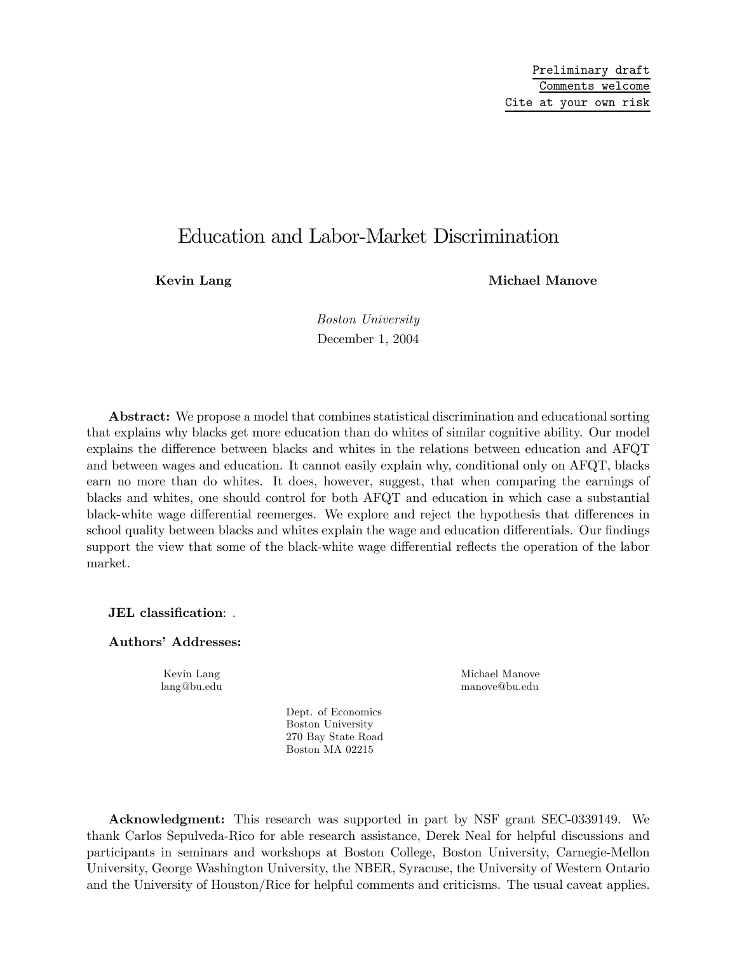# Education and Labor-Market Discrimination

Kevin Lang Michael Manove

Boston University December 1, 2004

Abstract: We propose a model that combines statistical discrimination and educational sorting that explains why blacks get more education than do whites of similar cognitive ability. Our model explains the difference between blacks and whites in the relations between education and AFQT and between wages and education. It cannot easily explain why, conditional only on AFQT, blacks earn no more than do whites. It does, however, suggest, that when comparing the earnings of blacks and whites, one should control for both AFQT and education in which case a substantial black-white wage differential reemerges. We explore and reject the hypothesis that differences in school quality between blacks and whites explain the wage and education differentials. Our findings support the view that some of the black-white wage differential reflects the operation of the labor market.

JEL classification: .

Authors' Addresses:

Dept. of Economics Boston University 270 Bay State Road

Boston MA 02215

Kevin Lang Michael Manove lang@bu.edu manove@bu.edu

Acknowledgment: This research was supported in part by NSF grant SEC-0339149. We thank Carlos Sepulveda-Rico for able research assistance, Derek Neal for helpful discussions and participants in seminars and workshops at Boston College, Boston University, Carnegie-Mellon University, George Washington University, the NBER, Syracuse, the University of Western Ontario and the University of Houston/Rice for helpful comments and criticisms. The usual caveat applies.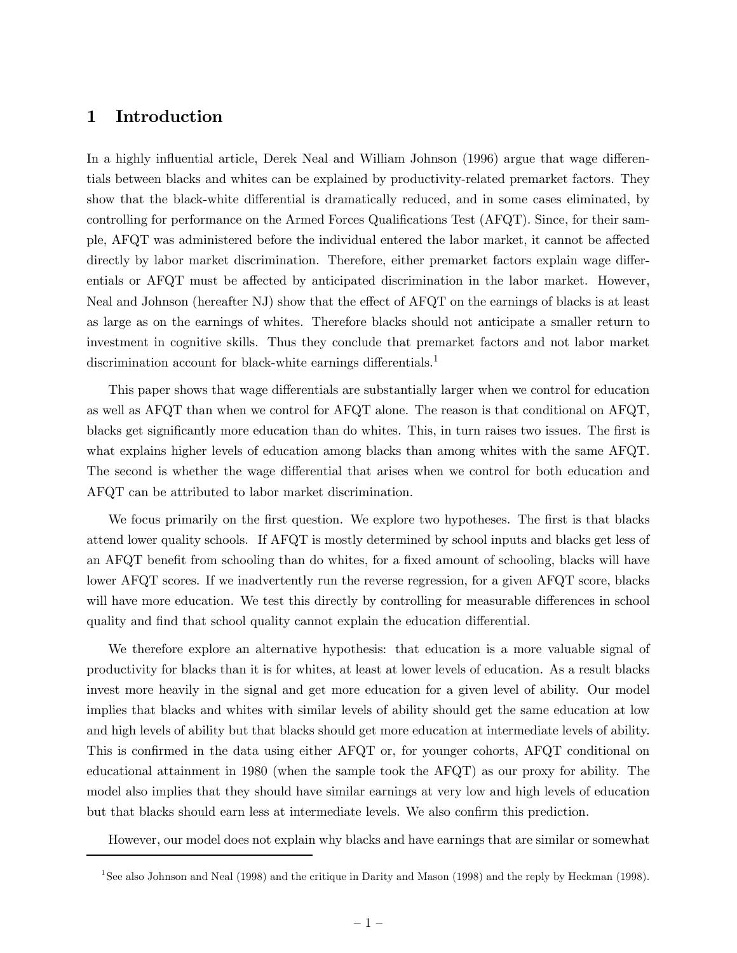# 1 Introduction

In a highly influential article, Derek Neal and William Johnson (1996) argue that wage differentials between blacks and whites can be explained by productivity-related premarket factors. They show that the black-white differential is dramatically reduced, and in some cases eliminated, by controlling for performance on the Armed Forces Qualifications Test (AFQT). Since, for their sample, AFQT was administered before the individual entered the labor market, it cannot be affected directly by labor market discrimination. Therefore, either premarket factors explain wage differentials or AFQT must be affected by anticipated discrimination in the labor market. However, Neal and Johnson (hereafter NJ) show that the effect of AFQT on the earnings of blacks is at least as large as on the earnings of whites. Therefore blacks should not anticipate a smaller return to investment in cognitive skills. Thus they conclude that premarket factors and not labor market discrimination account for black-white earnings differentials.<sup>1</sup>

This paper shows that wage differentials are substantially larger when we control for education as well as AFQT than when we control for AFQT alone. The reason is that conditional on AFQT, blacks get significantly more education than do whites. This, in turn raises two issues. The first is what explains higher levels of education among blacks than among whites with the same AFQT. The second is whether the wage differential that arises when we control for both education and AFQT can be attributed to labor market discrimination.

We focus primarily on the first question. We explore two hypotheses. The first is that blacks attend lower quality schools. If AFQT is mostly determined by school inputs and blacks get less of an AFQT benefit from schooling than do whites, for a fixed amount of schooling, blacks will have lower AFQT scores. If we inadvertently run the reverse regression, for a given AFQT score, blacks will have more education. We test this directly by controlling for measurable differences in school quality and find that school quality cannot explain the education differential.

We therefore explore an alternative hypothesis: that education is a more valuable signal of productivity for blacks than it is for whites, at least at lower levels of education. As a result blacks invest more heavily in the signal and get more education for a given level of ability. Our model implies that blacks and whites with similar levels of ability should get the same education at low and high levels of ability but that blacks should get more education at intermediate levels of ability. This is confirmed in the data using either AFQT or, for younger cohorts, AFQT conditional on educational attainment in 1980 (when the sample took the AFQT) as our proxy for ability. The model also implies that they should have similar earnings at very low and high levels of education but that blacks should earn less at intermediate levels. We also confirm this prediction.

However, our model does not explain why blacks and have earnings that are similar or somewhat

<sup>1</sup>See also Johnson and Neal (1998) and the critique in Darity and Mason (1998) and the reply by Heckman (1998).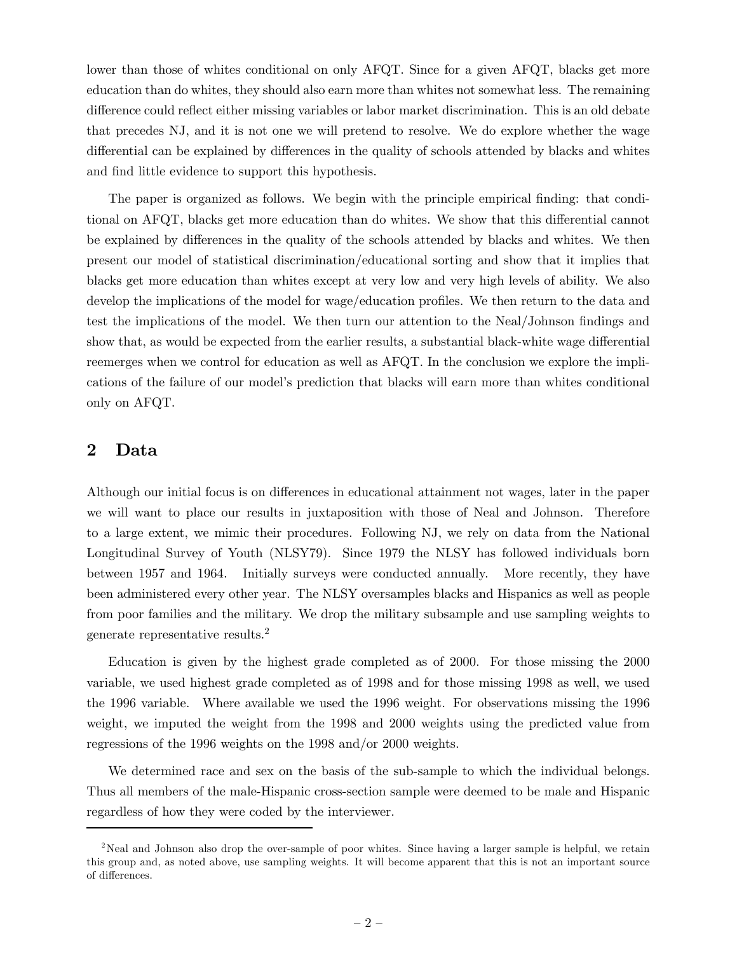lower than those of whites conditional on only AFQT. Since for a given AFQT, blacks get more education than do whites, they should also earn more than whites not somewhat less. The remaining difference could reflect either missing variables or labor market discrimination. This is an old debate that precedes NJ, and it is not one we will pretend to resolve. We do explore whether the wage differential can be explained by differences in the quality of schools attended by blacks and whites and find little evidence to support this hypothesis.

The paper is organized as follows. We begin with the principle empirical finding: that conditional on AFQT, blacks get more education than do whites. We show that this differential cannot be explained by differences in the quality of the schools attended by blacks and whites. We then present our model of statistical discrimination/educational sorting and show that it implies that blacks get more education than whites except at very low and very high levels of ability. We also develop the implications of the model for wage/education profiles. We then return to the data and test the implications of the model. We then turn our attention to the Neal/Johnson findings and show that, as would be expected from the earlier results, a substantial black-white wage differential reemerges when we control for education as well as AFQT. In the conclusion we explore the implications of the failure of our model's prediction that blacks will earn more than whites conditional only on AFQT.

### 2 Data

Although our initial focus is on differences in educational attainment not wages, later in the paper we will want to place our results in juxtaposition with those of Neal and Johnson. Therefore to a large extent, we mimic their procedures. Following NJ, we rely on data from the National Longitudinal Survey of Youth (NLSY79). Since 1979 the NLSY has followed individuals born between 1957 and 1964. Initially surveys were conducted annually. More recently, they have been administered every other year. The NLSY oversamples blacks and Hispanics as well as people from poor families and the military. We drop the military subsample and use sampling weights to generate representative results.2

Education is given by the highest grade completed as of 2000. For those missing the 2000 variable, we used highest grade completed as of 1998 and for those missing 1998 as well, we used the 1996 variable. Where available we used the 1996 weight. For observations missing the 1996 weight, we imputed the weight from the 1998 and 2000 weights using the predicted value from regressions of the 1996 weights on the 1998 and/or 2000 weights.

We determined race and sex on the basis of the sub-sample to which the individual belongs. Thus all members of the male-Hispanic cross-section sample were deemed to be male and Hispanic regardless of how they were coded by the interviewer.

<sup>&</sup>lt;sup>2</sup>Neal and Johnson also drop the over-sample of poor whites. Since having a larger sample is helpful, we retain this group and, as noted above, use sampling weights. It will become apparent that this is not an important source of differences.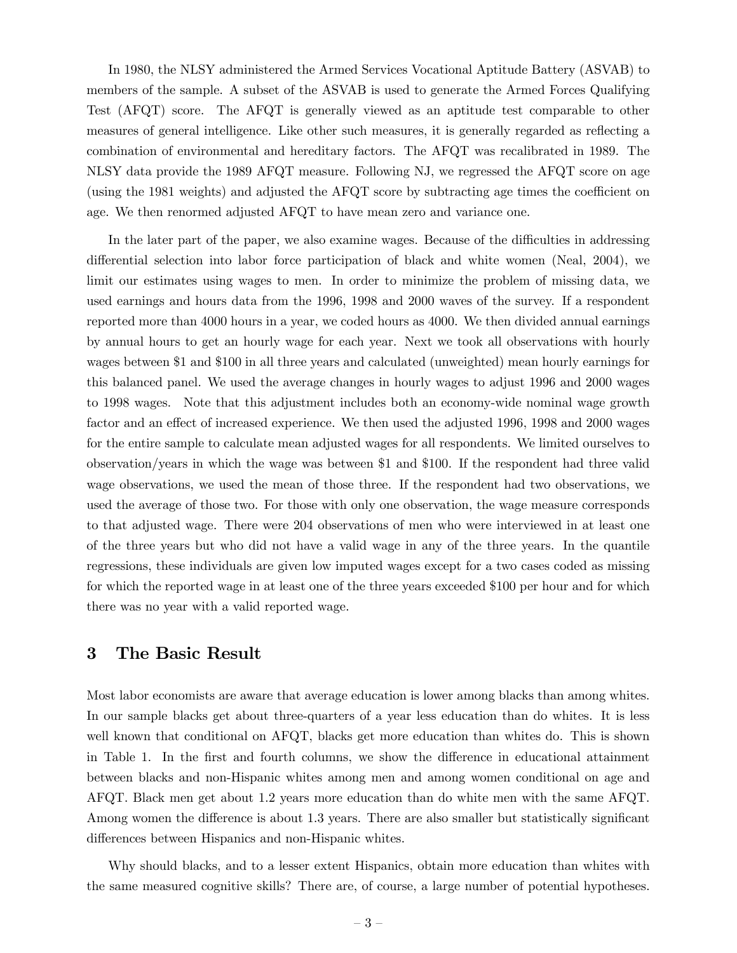In 1980, the NLSY administered the Armed Services Vocational Aptitude Battery (ASVAB) to members of the sample. A subset of the ASVAB is used to generate the Armed Forces Qualifying Test (AFQT) score. The AFQT is generally viewed as an aptitude test comparable to other measures of general intelligence. Like other such measures, it is generally regarded as reflecting a combination of environmental and hereditary factors. The AFQT was recalibrated in 1989. The NLSY data provide the 1989 AFQT measure. Following NJ, we regressed the AFQT score on age (using the 1981 weights) and adjusted the AFQT score by subtracting age times the coefficient on age. We then renormed adjusted AFQT to have mean zero and variance one.

In the later part of the paper, we also examine wages. Because of the difficulties in addressing differential selection into labor force participation of black and white women (Neal, 2004), we limit our estimates using wages to men. In order to minimize the problem of missing data, we used earnings and hours data from the 1996, 1998 and 2000 waves of the survey. If a respondent reported more than 4000 hours in a year, we coded hours as 4000. We then divided annual earnings by annual hours to get an hourly wage for each year. Next we took all observations with hourly wages between \$1 and \$100 in all three years and calculated (unweighted) mean hourly earnings for this balanced panel. We used the average changes in hourly wages to adjust 1996 and 2000 wages to 1998 wages. Note that this adjustment includes both an economy-wide nominal wage growth factor and an effect of increased experience. We then used the adjusted 1996, 1998 and 2000 wages for the entire sample to calculate mean adjusted wages for all respondents. We limited ourselves to observation/years in which the wage was between \$1 and \$100. If the respondent had three valid wage observations, we used the mean of those three. If the respondent had two observations, we used the average of those two. For those with only one observation, the wage measure corresponds to that adjusted wage. There were 204 observations of men who were interviewed in at least one of the three years but who did not have a valid wage in any of the three years. In the quantile regressions, these individuals are given low imputed wages except for a two cases coded as missing for which the reported wage in at least one of the three years exceeded \$100 per hour and for which there was no year with a valid reported wage.

# 3 The Basic Result

Most labor economists are aware that average education is lower among blacks than among whites. In our sample blacks get about three-quarters of a year less education than do whites. It is less well known that conditional on AFQT, blacks get more education than whites do. This is shown in Table 1. In the first and fourth columns, we show the difference in educational attainment between blacks and non-Hispanic whites among men and among women conditional on age and AFQT. Black men get about 1.2 years more education than do white men with the same AFQT. Among women the difference is about 1.3 years. There are also smaller but statistically significant differences between Hispanics and non-Hispanic whites.

Why should blacks, and to a lesser extent Hispanics, obtain more education than whites with the same measured cognitive skills? There are, of course, a large number of potential hypotheses.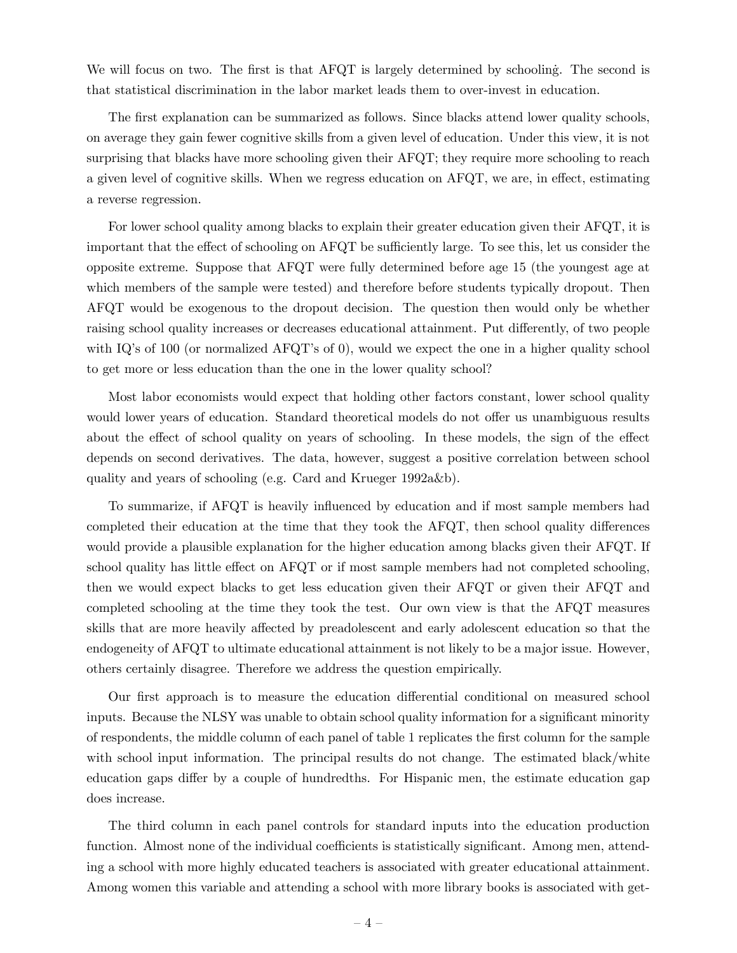We will focus on two. The first is that AFQT is largely determined by schooling. The second is that statistical discrimination in the labor market leads them to over-invest in education.

The first explanation can be summarized as follows. Since blacks attend lower quality schools, on average they gain fewer cognitive skills from a given level of education. Under this view, it is not surprising that blacks have more schooling given their AFQT; they require more schooling to reach a given level of cognitive skills. When we regress education on AFQT, we are, in effect, estimating a reverse regression.

For lower school quality among blacks to explain their greater education given their AFQT, it is important that the effect of schooling on AFQT be sufficiently large. To see this, let us consider the opposite extreme. Suppose that AFQT were fully determined before age 15 (the youngest age at which members of the sample were tested) and therefore before students typically dropout. Then AFQT would be exogenous to the dropout decision. The question then would only be whether raising school quality increases or decreases educational attainment. Put differently, of two people with IQ's of 100 (or normalized AFQT's of 0), would we expect the one in a higher quality school to get more or less education than the one in the lower quality school?

Most labor economists would expect that holding other factors constant, lower school quality would lower years of education. Standard theoretical models do not offer us unambiguous results about the effect of school quality on years of schooling. In these models, the sign of the effect depends on second derivatives. The data, however, suggest a positive correlation between school quality and years of schooling (e.g. Card and Krueger 1992a&b).

To summarize, if AFQT is heavily influenced by education and if most sample members had completed their education at the time that they took the AFQT, then school quality differences would provide a plausible explanation for the higher education among blacks given their AFQT. If school quality has little effect on AFQT or if most sample members had not completed schooling, then we would expect blacks to get less education given their AFQT or given their AFQT and completed schooling at the time they took the test. Our own view is that the AFQT measures skills that are more heavily affected by preadolescent and early adolescent education so that the endogeneity of AFQT to ultimate educational attainment is not likely to be a major issue. However, others certainly disagree. Therefore we address the question empirically.

Our first approach is to measure the education differential conditional on measured school inputs. Because the NLSY was unable to obtain school quality information for a significant minority of respondents, the middle column of each panel of table 1 replicates the first column for the sample with school input information. The principal results do not change. The estimated black/white education gaps differ by a couple of hundredths. For Hispanic men, the estimate education gap does increase.

The third column in each panel controls for standard inputs into the education production function. Almost none of the individual coefficients is statistically significant. Among men, attending a school with more highly educated teachers is associated with greater educational attainment. Among women this variable and attending a school with more library books is associated with get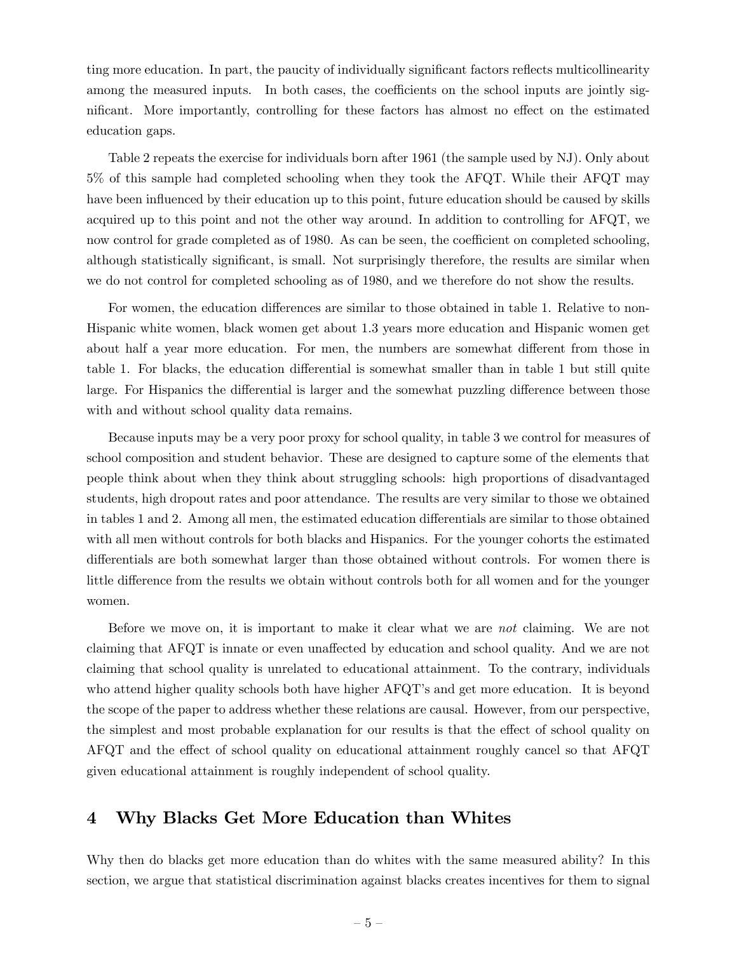ting more education. In part, the paucity of individually significant factors reflects multicollinearity among the measured inputs. In both cases, the coefficients on the school inputs are jointly significant. More importantly, controlling for these factors has almost no effect on the estimated education gaps.

Table 2 repeats the exercise for individuals born after 1961 (the sample used by NJ). Only about 5% of this sample had completed schooling when they took the AFQT. While their AFQT may have been influenced by their education up to this point, future education should be caused by skills acquired up to this point and not the other way around. In addition to controlling for AFQT, we now control for grade completed as of 1980. As can be seen, the coefficient on completed schooling, although statistically significant, is small. Not surprisingly therefore, the results are similar when we do not control for completed schooling as of 1980, and we therefore do not show the results.

For women, the education differences are similar to those obtained in table 1. Relative to non-Hispanic white women, black women get about 1.3 years more education and Hispanic women get about half a year more education. For men, the numbers are somewhat different from those in table 1. For blacks, the education differential is somewhat smaller than in table 1 but still quite large. For Hispanics the differential is larger and the somewhat puzzling difference between those with and without school quality data remains.

Because inputs may be a very poor proxy for school quality, in table 3 we control for measures of school composition and student behavior. These are designed to capture some of the elements that people think about when they think about struggling schools: high proportions of disadvantaged students, high dropout rates and poor attendance. The results are very similar to those we obtained in tables 1 and 2. Among all men, the estimated education differentials are similar to those obtained with all men without controls for both blacks and Hispanics. For the younger cohorts the estimated differentials are both somewhat larger than those obtained without controls. For women there is little difference from the results we obtain without controls both for all women and for the younger women.

Before we move on, it is important to make it clear what we are not claiming. We are not claiming that AFQT is innate or even unaffected by education and school quality. And we are not claiming that school quality is unrelated to educational attainment. To the contrary, individuals who attend higher quality schools both have higher AFQT's and get more education. It is beyond the scope of the paper to address whether these relations are causal. However, from our perspective, the simplest and most probable explanation for our results is that the effect of school quality on AFQT and the effect of school quality on educational attainment roughly cancel so that AFQT given educational attainment is roughly independent of school quality.

### 4 Why Blacks Get More Education than Whites

Why then do blacks get more education than do whites with the same measured ability? In this section, we argue that statistical discrimination against blacks creates incentives for them to signal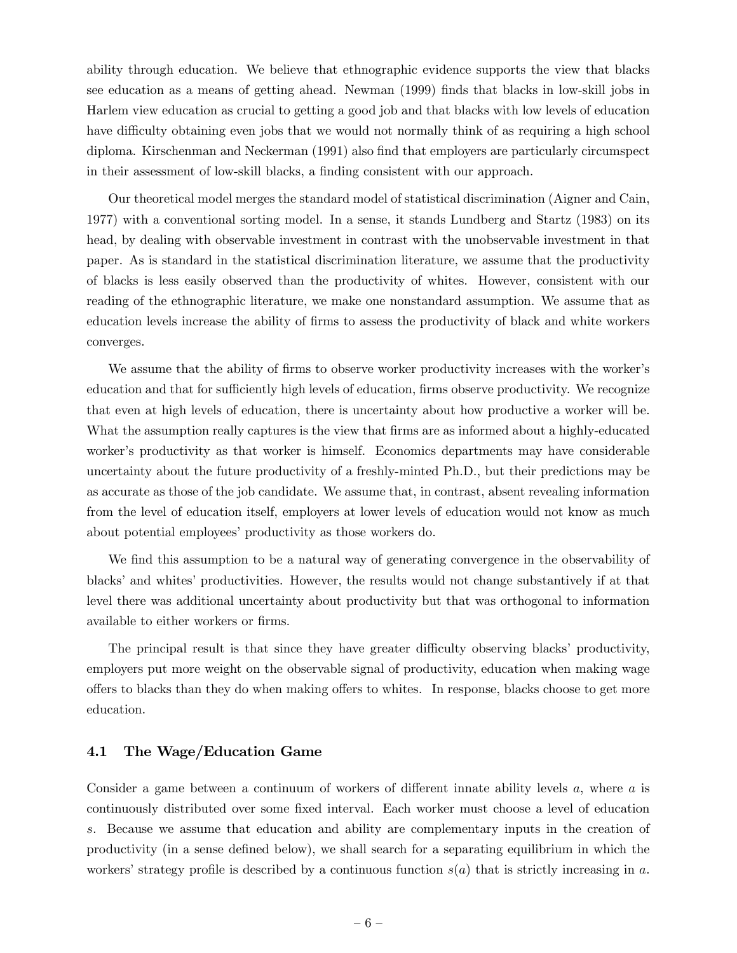ability through education. We believe that ethnographic evidence supports the view that blacks see education as a means of getting ahead. Newman (1999) finds that blacks in low-skill jobs in Harlem view education as crucial to getting a good job and that blacks with low levels of education have difficulty obtaining even jobs that we would not normally think of as requiring a high school diploma. Kirschenman and Neckerman (1991) also find that employers are particularly circumspect in their assessment of low-skill blacks, a finding consistent with our approach.

Our theoretical model merges the standard model of statistical discrimination (Aigner and Cain, 1977) with a conventional sorting model. In a sense, it stands Lundberg and Startz (1983) on its head, by dealing with observable investment in contrast with the unobservable investment in that paper. As is standard in the statistical discrimination literature, we assume that the productivity of blacks is less easily observed than the productivity of whites. However, consistent with our reading of the ethnographic literature, we make one nonstandard assumption. We assume that as education levels increase the ability of firms to assess the productivity of black and white workers converges.

We assume that the ability of firms to observe worker productivity increases with the worker's education and that for sufficiently high levels of education, firms observe productivity. We recognize that even at high levels of education, there is uncertainty about how productive a worker will be. What the assumption really captures is the view that firms are as informed about a highly-educated worker's productivity as that worker is himself. Economics departments may have considerable uncertainty about the future productivity of a freshly-minted Ph.D., but their predictions may be as accurate as those of the job candidate. We assume that, in contrast, absent revealing information from the level of education itself, employers at lower levels of education would not know as much about potential employees' productivity as those workers do.

We find this assumption to be a natural way of generating convergence in the observability of blacks' and whites' productivities. However, the results would not change substantively if at that level there was additional uncertainty about productivity but that was orthogonal to information available to either workers or firms.

The principal result is that since they have greater difficulty observing blacks' productivity, employers put more weight on the observable signal of productivity, education when making wage offers to blacks than they do when making offers to whites. In response, blacks choose to get more education.

### 4.1 The Wage/Education Game

Consider a game between a continuum of workers of different innate ability levels a, where a is continuously distributed over some fixed interval. Each worker must choose a level of education s. Because we assume that education and ability are complementary inputs in the creation of productivity (in a sense defined below), we shall search for a separating equilibrium in which the workers' strategy profile is described by a continuous function  $s(a)$  that is strictly increasing in a.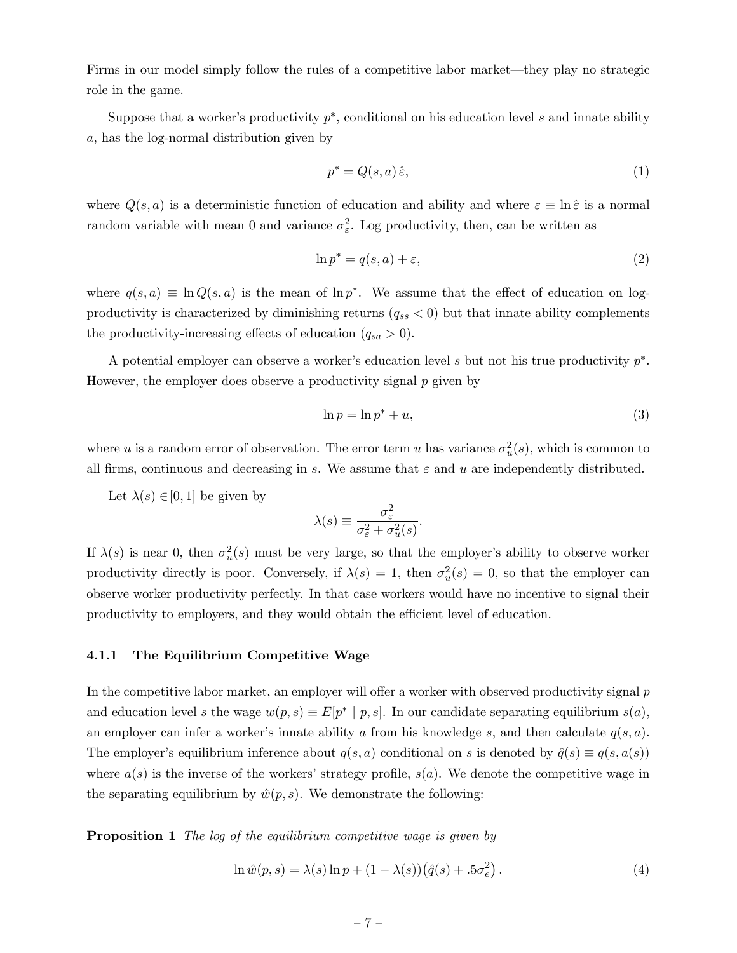Firms in our model simply follow the rules of a competitive labor market—they play no strategic role in the game.

Suppose that a worker's productivity  $p^*$ , conditional on his education level s and innate ability a, has the log-normal distribution given by

$$
p^* = Q(s, a)\,\hat{\varepsilon},\tag{1}
$$

where  $Q(s, a)$  is a deterministic function of education and ability and where  $\varepsilon \equiv \ln \hat{\varepsilon}$  is a normal random variable with mean 0 and variance  $\sigma_{\varepsilon}^2$ . Log productivity, then, can be written as

$$
\ln p^* = q(s, a) + \varepsilon,\tag{2}
$$

where  $q(s, a) \equiv \ln Q(s, a)$  is the mean of  $\ln p^*$ . We assume that the effect of education on logproductivity is characterized by diminishing returns  $(q_{ss} < 0)$  but that innate ability complements the productivity-increasing effects of education  $(q_{sa} > 0)$ .

A potential employer can observe a worker's education level s but not his true productivity p∗. However, the employer does observe a productivity signal p given by

$$
\ln p = \ln p^* + u,\tag{3}
$$

where u is a random error of observation. The error term u has variance  $\sigma_u^2(s)$ , which is common to all firms, continuous and decreasing in s. We assume that  $\varepsilon$  and u are independently distributed.

Let  $\lambda(s) \in [0, 1]$  be given by

$$
\lambda(s) \equiv \frac{\sigma_{\varepsilon}^2}{\sigma_{\varepsilon}^2 + \sigma_u^2(s)}.
$$

If  $\lambda(s)$  is near 0, then  $\sigma_u^2(s)$  must be very large, so that the employer's ability to observe worker productivity directly is poor. Conversely, if  $\lambda(s)=1$ , then  $\sigma_u^2(s)=0$ , so that the employer can observe worker productivity perfectly. In that case workers would have no incentive to signal their productivity to employers, and they would obtain the efficient level of education.

### 4.1.1 The Equilibrium Competitive Wage

In the competitive labor market, an employer will offer a worker with observed productivity signal p and education level s the wage  $w(p, s) \equiv E[p^* | p, s]$ . In our candidate separating equilibrium  $s(a)$ , an employer can infer a worker's innate ability a from his knowledge s, and then calculate  $q(s, a)$ . The employer's equilibrium inference about  $q(s, a)$  conditional on s is denoted by  $\hat{q}(s) \equiv q(s, a(s))$ where  $a(s)$  is the inverse of the workers' strategy profile,  $s(a)$ . We denote the competitive wage in the separating equilibrium by  $\hat{w}(p, s)$ . We demonstrate the following:

Proposition 1 The log of the equilibrium competitive wage is given by

$$
\ln \hat{w}(p,s) = \lambda(s) \ln p + (1 - \lambda(s)) \left(\hat{q}(s) + .5\sigma_e^2\right). \tag{4}
$$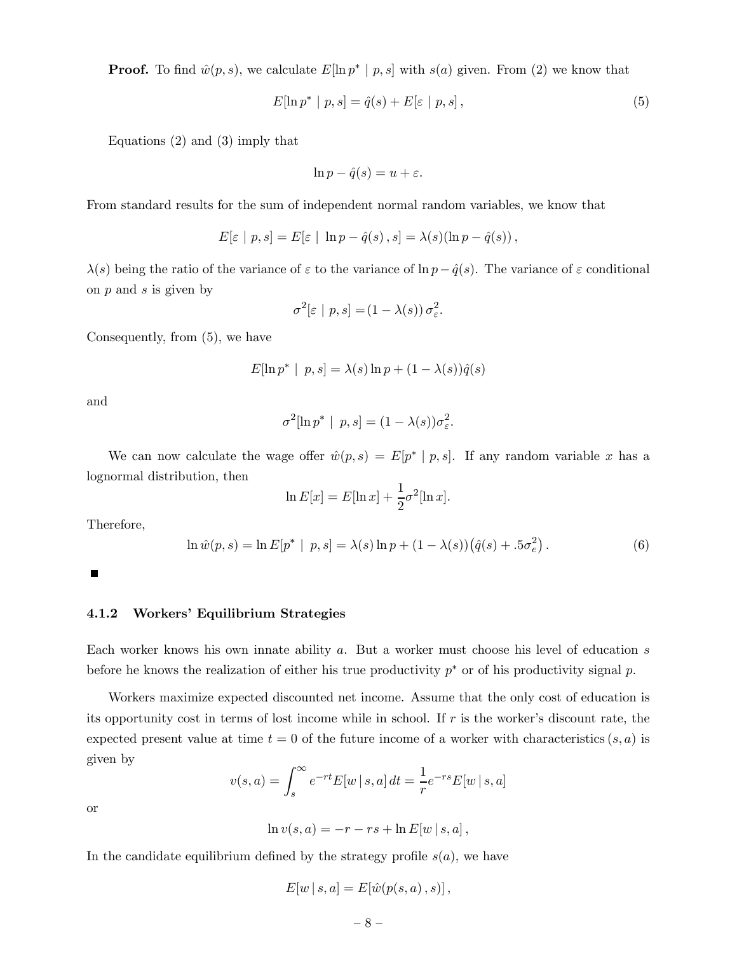**Proof.** To find  $\hat{w}(p, s)$ , we calculate  $E[\ln p^* | p, s]$  with  $s(a)$  given. From (2) we know that

$$
E[\ln p^* \mid p, s] = \hat{q}(s) + E[\varepsilon \mid p, s], \qquad (5)
$$

Equations (2) and (3) imply that

$$
\ln p - \hat{q}(s) = u + \varepsilon.
$$

From standard results for the sum of independent normal random variables, we know that

$$
E[\varepsilon \mid p, s] = E[\varepsilon \mid \ln p - \hat{q}(s), s] = \lambda(s)(\ln p - \hat{q}(s)),
$$

 $\lambda(s)$  being the ratio of the variance of  $\varepsilon$  to the variance of ln  $p-\hat{q}(s)$ . The variance of  $\varepsilon$  conditional on  $p$  and  $s$  is given by

$$
\sigma^2[\varepsilon | p, s] = (1 - \lambda(s)) \sigma_{\varepsilon}^2.
$$

Consequently, from (5), we have

$$
E[\ln p^* \mid p, s] = \lambda(s) \ln p + (1 - \lambda(s)) \hat{q}(s)
$$

and

$$
\sigma^2[\ln p^* \mid p, s] = (1 - \lambda(s))\sigma_{\varepsilon}^2.
$$

We can now calculate the wage offer  $\hat{w}(p, s) = E[p^* | p, s]$ . If any random variable x has a lognormal distribution, then

$$
\ln E[x] = E[\ln x] + \frac{1}{2}\sigma^2[\ln x].
$$

Therefore,

$$
\ln \hat{w}(p, s) = \ln E[p^* | p, s] = \lambda(s) \ln p + (1 - \lambda(s)) (\hat{q}(s) + .5\sigma_e^2).
$$
 (6)

 $\blacksquare$ 

### 4.1.2 Workers' Equilibrium Strategies

Each worker knows his own innate ability a. But a worker must choose his level of education s before he knows the realization of either his true productivity  $p^*$  or of his productivity signal p.

Workers maximize expected discounted net income. Assume that the only cost of education is its opportunity cost in terms of lost income while in school. If  $r$  is the worker's discount rate, the expected present value at time  $t = 0$  of the future income of a worker with characteristics  $(s, a)$  is given by

$$
v(s, a) = \int_{s}^{\infty} e^{-rt} E[w \mid s, a] dt = \frac{1}{r} e^{-rs} E[w \mid s, a]
$$

or

$$
\ln v(s,a) = -r - rs + \ln E[w \mid s,a],
$$

In the candidate equilibrium defined by the strategy profile  $s(a)$ , we have

$$
E[w | s, a] = E[\hat{w}(p(s, a), s)],
$$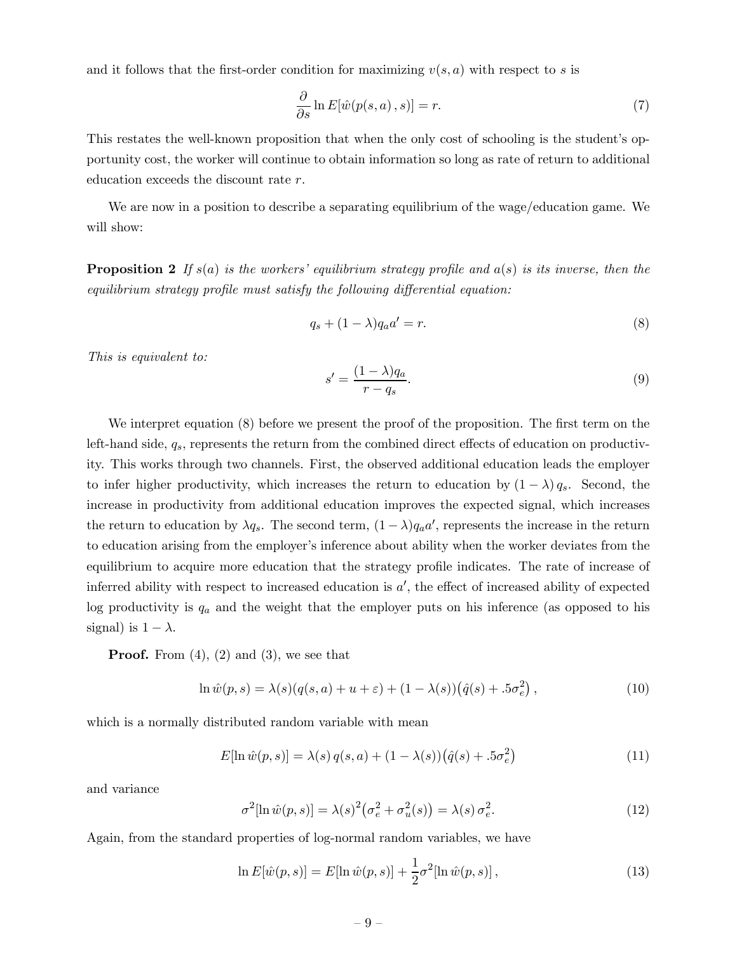and it follows that the first-order condition for maximizing  $v(s, a)$  with respect to s is

$$
\frac{\partial}{\partial s} \ln E[\hat{w}(p(s, a), s)] = r.
$$
\n(7)

This restates the well-known proposition that when the only cost of schooling is the student's opportunity cost, the worker will continue to obtain information so long as rate of return to additional education exceeds the discount rate r.

We are now in a position to describe a separating equilibrium of the wage/education game. We will show:

**Proposition 2** If  $s(a)$  is the workers' equilibrium strategy profile and  $a(s)$  is its inverse, then the equilibrium strategy profile must satisfy the following differential equation:

$$
q_s + (1 - \lambda)q_a a' = r.
$$
\n<sup>(8)</sup>

This is equivalent to:

$$
s' = \frac{(1 - \lambda)q_a}{r - q_s}.\tag{9}
$$

We interpret equation (8) before we present the proof of the proposition. The first term on the left-hand side,  $q_s$ , represents the return from the combined direct effects of education on productivity. This works through two channels. First, the observed additional education leads the employer to infer higher productivity, which increases the return to education by  $(1 - \lambda) q_s$ . Second, the increase in productivity from additional education improves the expected signal, which increases the return to education by  $\lambda q_s$ . The second term,  $(1 - \lambda)q_a a'$ , represents the increase in the return to education arising from the employer's inference about ability when the worker deviates from the equilibrium to acquire more education that the strategy profile indicates. The rate of increase of inferred ability with respect to increased education is  $a'$ , the effect of increased ability of expected log productivity is  $q_a$  and the weight that the employer puts on his inference (as opposed to his signal) is  $1 - \lambda$ .

**Proof.** From  $(4)$ ,  $(2)$  and  $(3)$ , we see that

$$
\ln \hat{w}(p,s) = \lambda(s)(q(s,a) + u + \varepsilon) + (1 - \lambda(s))(\hat{q}(s) + .5\sigma_e^2), \qquad (10)
$$

which is a normally distributed random variable with mean

$$
E[\ln \hat{w}(p,s)] = \lambda(s) q(s,a) + (1 - \lambda(s)) (\hat{q}(s) + .5\sigma_e^2)
$$
\n(11)

and variance

$$
\sigma^2[\ln \hat{w}(p,s)] = \lambda(s)^2 \big(\sigma_e^2 + \sigma_u^2(s)\big) = \lambda(s) \,\sigma_e^2. \tag{12}
$$

Again, from the standard properties of log-normal random variables, we have

$$
\ln E[\hat{w}(p,s)] = E[\ln \hat{w}(p,s)] + \frac{1}{2}\sigma^2[\ln \hat{w}(p,s)],
$$
\n(13)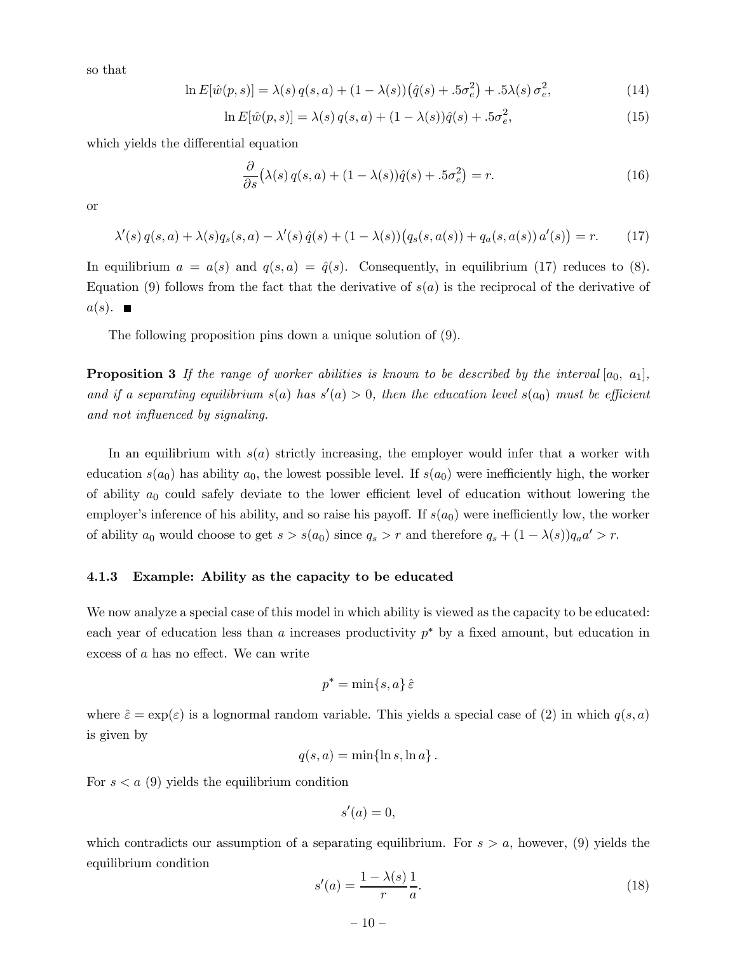so that

$$
\ln E[\hat{w}(p,s)] = \lambda(s) q(s,a) + (1 - \lambda(s))(\hat{q}(s) + .5\sigma_e^2) + .5\lambda(s)\sigma_e^2,
$$
\n(14)

$$
\ln E[\hat{w}(p,s)] = \lambda(s) q(s,a) + (1 - \lambda(s))\hat{q}(s) + .5\sigma_e^2,
$$
\n(15)

which yields the differential equation

$$
\frac{\partial}{\partial s} \left( \lambda(s) q(s, a) + (1 - \lambda(s)) \hat{q}(s) + .5 \sigma_e^2 \right) = r.
$$
 (16)

or

$$
\lambda'(s) q(s, a) + \lambda(s) q_s(s, a) - \lambda'(s) \hat{q}(s) + (1 - \lambda(s)) (q_s(s, a(s)) + q_a(s, a(s)) a'(s)) = r.
$$
 (17)

In equilibrium  $a = a(s)$  and  $q(s, a) = \hat{q}(s)$ . Consequently, in equilibrium (17) reduces to (8). Equation (9) follows from the fact that the derivative of  $s(a)$  is the reciprocal of the derivative of  $a(s)$ .

The following proposition pins down a unique solution of (9).

**Proposition 3** If the range of worker abilities is known to be described by the interval  $[a_0, a_1]$ , and if a separating equilibrium  $s(a)$  has  $s'(a) > 0$ , then the education level  $s(a_0)$  must be efficient and not influenced by signaling.

In an equilibrium with  $s(a)$  strictly increasing, the employer would infer that a worker with education  $s(a_0)$  has ability  $a_0$ , the lowest possible level. If  $s(a_0)$  were inefficiently high, the worker of ability  $a_0$  could safely deviate to the lower efficient level of education without lowering the employer's inference of his ability, and so raise his payoff. If  $s(a_0)$  were inefficiently low, the worker of ability  $a_0$  would choose to get  $s > s(a_0)$  since  $q_s > r$  and therefore  $q_s + (1 - \lambda(s))q_a a' > r$ .

#### 4.1.3 Example: Ability as the capacity to be educated

We now analyze a special case of this model in which ability is viewed as the capacity to be educated: each year of education less than a increases productivity  $p^*$  by a fixed amount, but education in excess of a has no effect. We can write

$$
p^* = \min\{s, a\} \,\hat{\varepsilon}
$$

where  $\hat{\varepsilon} = \exp(\varepsilon)$  is a lognormal random variable. This yields a special case of (2) in which  $q(s, a)$ is given by

$$
q(s,a) = \min\{\ln s, \ln a\}.
$$

For  $s < a$  (9) yields the equilibrium condition

$$
s'(a) = 0,
$$

which contradicts our assumption of a separating equilibrium. For  $s > a$ , however, (9) yields the equilibrium condition

$$
s'(a) = \frac{1 - \lambda(s)}{r} \frac{1}{a}.\tag{18}
$$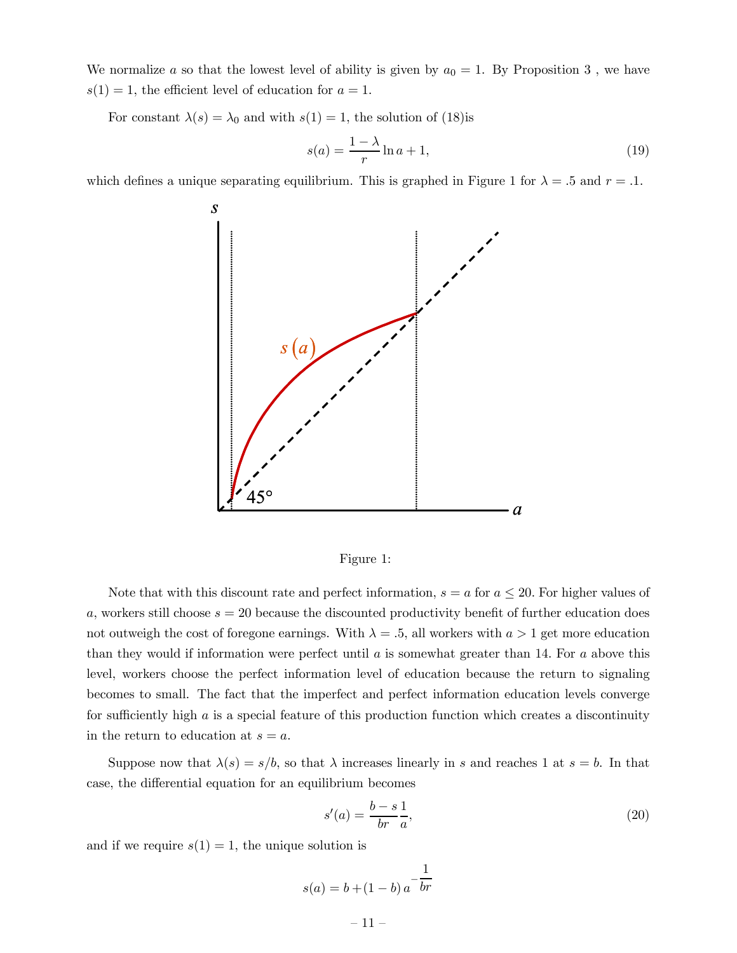We normalize a so that the lowest level of ability is given by  $a_0 = 1$ . By Proposition 3, we have  $s(1) = 1$ , the efficient level of education for  $a = 1$ .

For constant  $\lambda(s) = \lambda_0$  and with  $s(1) = 1$ , the solution of (18)is

$$
s(a) = \frac{1 - \lambda}{r} \ln a + 1,\tag{19}
$$

which defines a unique separating equilibrium. This is graphed in Figure 1 for  $\lambda = .5$  and  $r = .1$ .





Note that with this discount rate and perfect information,  $s = a$  for  $a \leq 20$ . For higher values of  $a$ , workers still choose  $s = 20$  because the discounted productivity benefit of further education does not outweigh the cost of foregone earnings. With  $\lambda = .5$ , all workers with  $a > 1$  get more education than they would if information were perfect until  $a$  is somewhat greater than 14. For  $a$  above this level, workers choose the perfect information level of education because the return to signaling becomes to small. The fact that the imperfect and perfect information education levels converge for sufficiently high  $a$  is a special feature of this production function which creates a discontinuity in the return to education at  $s = a$ .

Suppose now that  $\lambda(s) = s/b$ , so that  $\lambda$  increases linearly in s and reaches 1 at  $s = b$ . In that case, the differential equation for an equilibrium becomes

$$
s'(a) = \frac{b-s}{br} \frac{1}{a},\tag{20}
$$

and if we require  $s(1) = 1$ , the unique solution is

$$
s(a) = b + (1 - b) a^{-\frac{1}{br}}
$$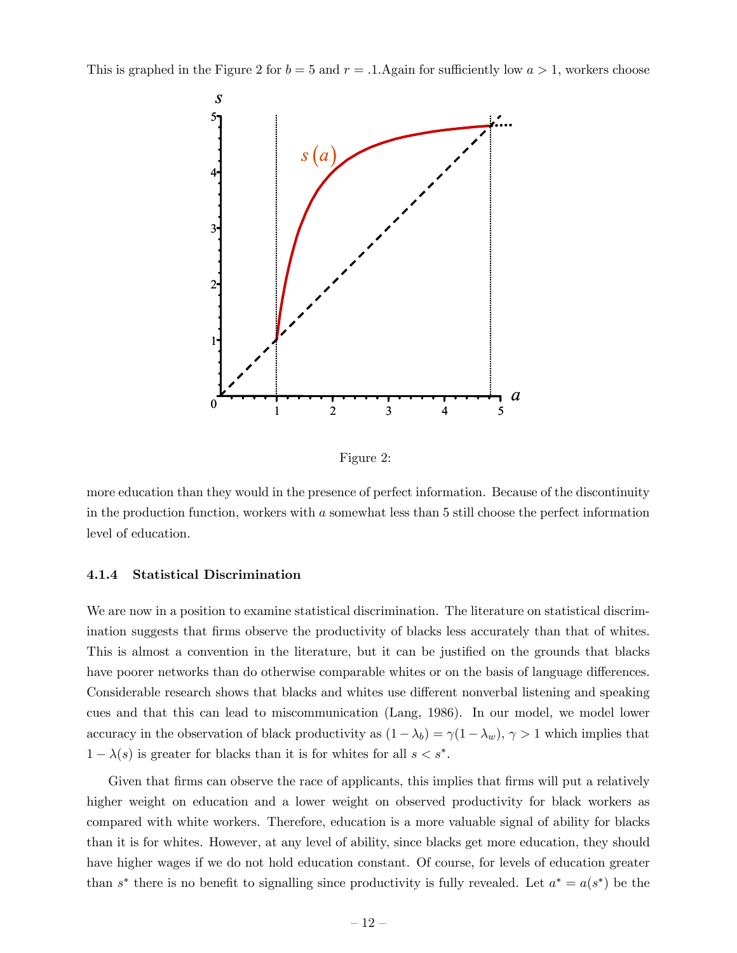This is graphed in the Figure 2 for  $b = 5$  and  $r = .1$ . Again for sufficiently low  $a > 1$ , workers choose



Figure 2:

more education than they would in the presence of perfect information. Because of the discontinuity in the production function, workers with a somewhat less than 5 still choose the perfect information level of education.

### 4.1.4 Statistical Discrimination

We are now in a position to examine statistical discrimination. The literature on statistical discrimination suggests that firms observe the productivity of blacks less accurately than that of whites. This is almost a convention in the literature, but it can be justified on the grounds that blacks have poorer networks than do otherwise comparable whites or on the basis of language differences. Considerable research shows that blacks and whites use different nonverbal listening and speaking cues and that this can lead to miscommunication (Lang, 1986). In our model, we model lower accuracy in the observation of black productivity as  $(1-\lambda_b) = \gamma(1-\lambda_w)$ ,  $\gamma > 1$  which implies that  $1 - \lambda(s)$  is greater for blacks than it is for whites for all  $s < s^*$ .

Given that firms can observe the race of applicants, this implies that firms will put a relatively higher weight on education and a lower weight on observed productivity for black workers as compared with white workers. Therefore, education is a more valuable signal of ability for blacks than it is for whites. However, at any level of ability, since blacks get more education, they should have higher wages if we do not hold education constant. Of course, for levels of education greater than s<sup>\*</sup> there is no benefit to signalling since productivity is fully revealed. Let  $a^* = a(s^*)$  be the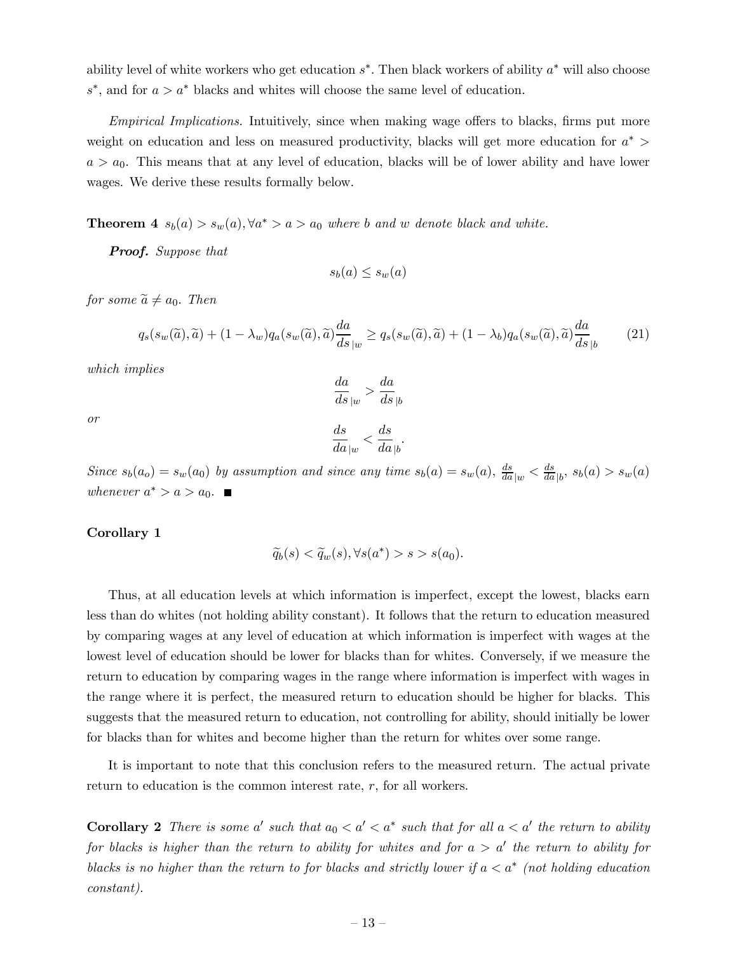ability level of white workers who get education s∗. Then black workers of ability a∗ will also choose s<sup>\*</sup>, and for  $a > a^*$  blacks and whites will choose the same level of education.

Empirical Implications. Intuitively, since when making wage offers to blacks, firms put more weight on education and less on measured productivity, blacks will get more education for  $a^*$  $a>a_0$ . This means that at any level of education, blacks will be of lower ability and have lower wages. We derive these results formally below.

**Theorem 4**  $s_b(a) > s_w(a)$ ,  $\forall a^* > a > a_0$  where b and w denote black and white.

Proof. Suppose that

$$
s_b(a) \leq s_w(a)
$$

for some  $\widetilde{a} \neq a_0$ . Then

$$
q_s(s_w(\tilde{a}), \tilde{a}) + (1 - \lambda_w)q_a(s_w(\tilde{a}), \tilde{a})\frac{da}{ds}_{|w} \ge q_s(s_w(\tilde{a}), \tilde{a}) + (1 - \lambda_b)q_a(s_w(\tilde{a}), \tilde{a})\frac{da}{ds}_{|b}
$$
(21)

which implies

 $\frac{da}{ds}_{|w} > \frac{da}{ds}$  $ds$   $|b$ 

$$
\overline{or}
$$

$$
\frac{ds}{da|w} < \frac{ds}{da|b}.
$$

Since  $s_b(a_o) = s_w(a_0)$  by assumption and since any time  $s_b(a) = s_w(a)$ ,  $\frac{ds}{da}|_w < \frac{ds}{da}|_b$ ,  $s_b(a) > s_w(a)$ whenever  $a^* > a > a_0$ . ■

#### Corollary 1

$$
\widetilde{q}_b(s) < \widetilde{q}_w(s), \forall s(a^*) > s > s(a_0).
$$

Thus, at all education levels at which information is imperfect, except the lowest, blacks earn less than do whites (not holding ability constant). It follows that the return to education measured by comparing wages at any level of education at which information is imperfect with wages at the lowest level of education should be lower for blacks than for whites. Conversely, if we measure the return to education by comparing wages in the range where information is imperfect with wages in the range where it is perfect, the measured return to education should be higher for blacks. This suggests that the measured return to education, not controlling for ability, should initially be lower for blacks than for whites and become higher than the return for whites over some range.

It is important to note that this conclusion refers to the measured return. The actual private return to education is the common interest rate, r, for all workers.

**Corollary 2** There is some a' such that  $a_0 < a' < a^*$  such that for all  $a < a'$  the return to ability for blacks is higher than the return to ability for whites and for  $a > a'$  the return to ability for blacks is no higher than the return to for blacks and strictly lower if  $a < a^*$  (not holding education constant).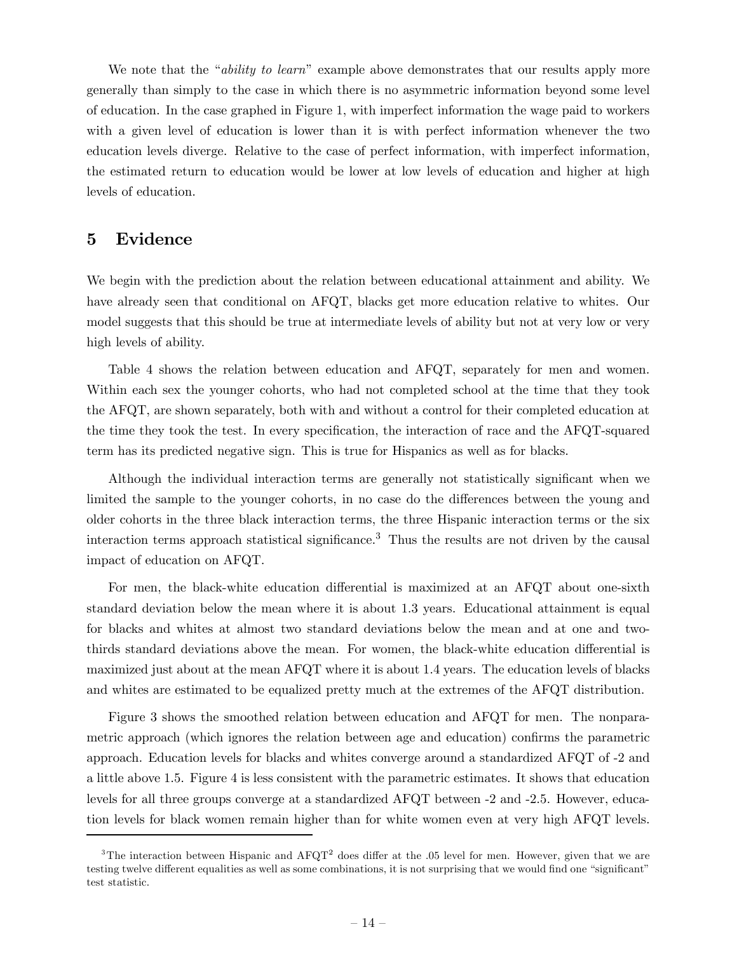We note that the "*ability to learn*" example above demonstrates that our results apply more generally than simply to the case in which there is no asymmetric information beyond some level of education. In the case graphed in Figure 1, with imperfect information the wage paid to workers with a given level of education is lower than it is with perfect information whenever the two education levels diverge. Relative to the case of perfect information, with imperfect information, the estimated return to education would be lower at low levels of education and higher at high levels of education.

## 5 Evidence

We begin with the prediction about the relation between educational attainment and ability. We have already seen that conditional on AFQT, blacks get more education relative to whites. Our model suggests that this should be true at intermediate levels of ability but not at very low or very high levels of ability.

Table 4 shows the relation between education and AFQT, separately for men and women. Within each sex the younger cohorts, who had not completed school at the time that they took the AFQT, are shown separately, both with and without a control for their completed education at the time they took the test. In every specification, the interaction of race and the AFQT-squared term has its predicted negative sign. This is true for Hispanics as well as for blacks.

Although the individual interaction terms are generally not statistically significant when we limited the sample to the younger cohorts, in no case do the differences between the young and older cohorts in the three black interaction terms, the three Hispanic interaction terms or the six interaction terms approach statistical significance.<sup>3</sup> Thus the results are not driven by the causal impact of education on AFQT.

For men, the black-white education differential is maximized at an AFQT about one-sixth standard deviation below the mean where it is about 1.3 years. Educational attainment is equal for blacks and whites at almost two standard deviations below the mean and at one and twothirds standard deviations above the mean. For women, the black-white education differential is maximized just about at the mean AFQT where it is about 1.4 years. The education levels of blacks and whites are estimated to be equalized pretty much at the extremes of the AFQT distribution.

Figure 3 shows the smoothed relation between education and AFQT for men. The nonparametric approach (which ignores the relation between age and education) confirms the parametric approach. Education levels for blacks and whites converge around a standardized AFQT of -2 and a little above 1.5. Figure 4 is less consistent with the parametric estimates. It shows that education levels for all three groups converge at a standardized AFQT between -2 and -2.5. However, education levels for black women remain higher than for white women even at very high AFQT levels.

<sup>&</sup>lt;sup>3</sup>The interaction between Hispanic and  $\text{AFGT}^2$  does differ at the .05 level for men. However, given that we are testing twelve different equalities as well as some combinations, it is not surprising that we would find one "significant" test statistic.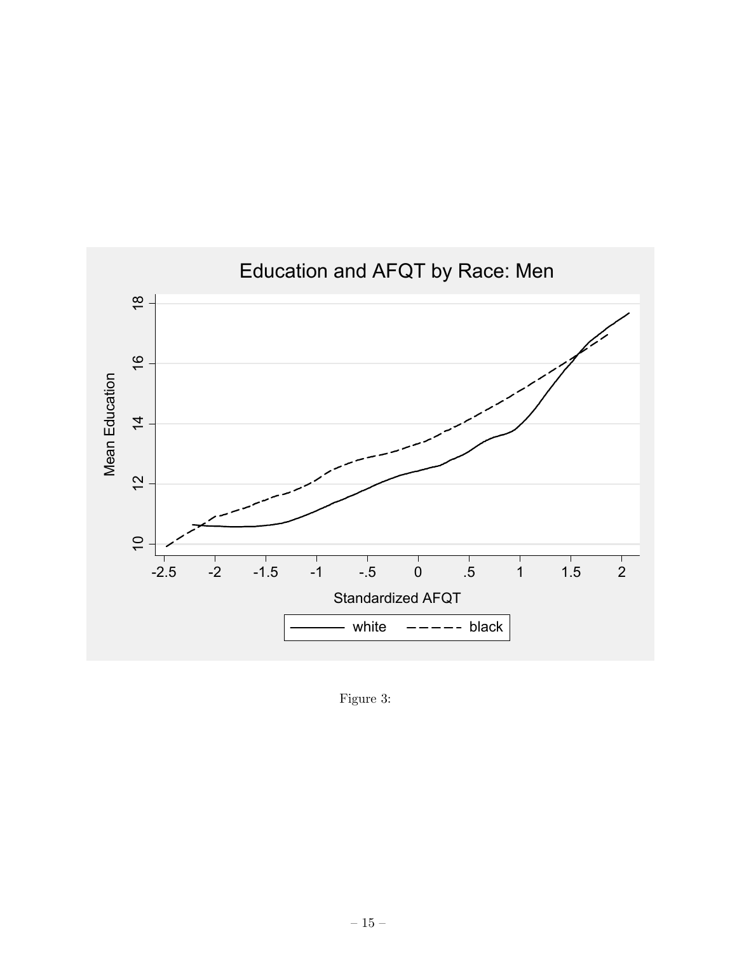

Figure 3: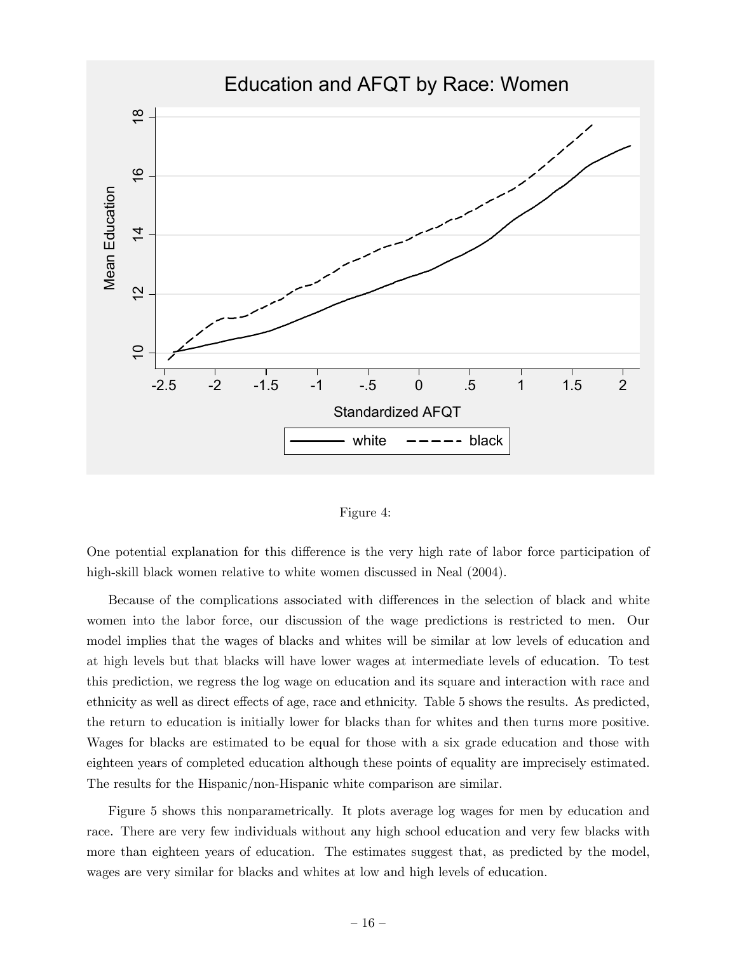

Figure 4:

One potential explanation for this difference is the very high rate of labor force participation of high-skill black women relative to white women discussed in Neal (2004).

Because of the complications associated with differences in the selection of black and white women into the labor force, our discussion of the wage predictions is restricted to men. Our model implies that the wages of blacks and whites will be similar at low levels of education and at high levels but that blacks will have lower wages at intermediate levels of education. To test this prediction, we regress the log wage on education and its square and interaction with race and ethnicity as well as direct effects of age, race and ethnicity. Table 5 shows the results. As predicted, the return to education is initially lower for blacks than for whites and then turns more positive. Wages for blacks are estimated to be equal for those with a six grade education and those with eighteen years of completed education although these points of equality are imprecisely estimated. The results for the Hispanic/non-Hispanic white comparison are similar.

Figure 5 shows this nonparametrically. It plots average log wages for men by education and race. There are very few individuals without any high school education and very few blacks with more than eighteen years of education. The estimates suggest that, as predicted by the model, wages are very similar for blacks and whites at low and high levels of education.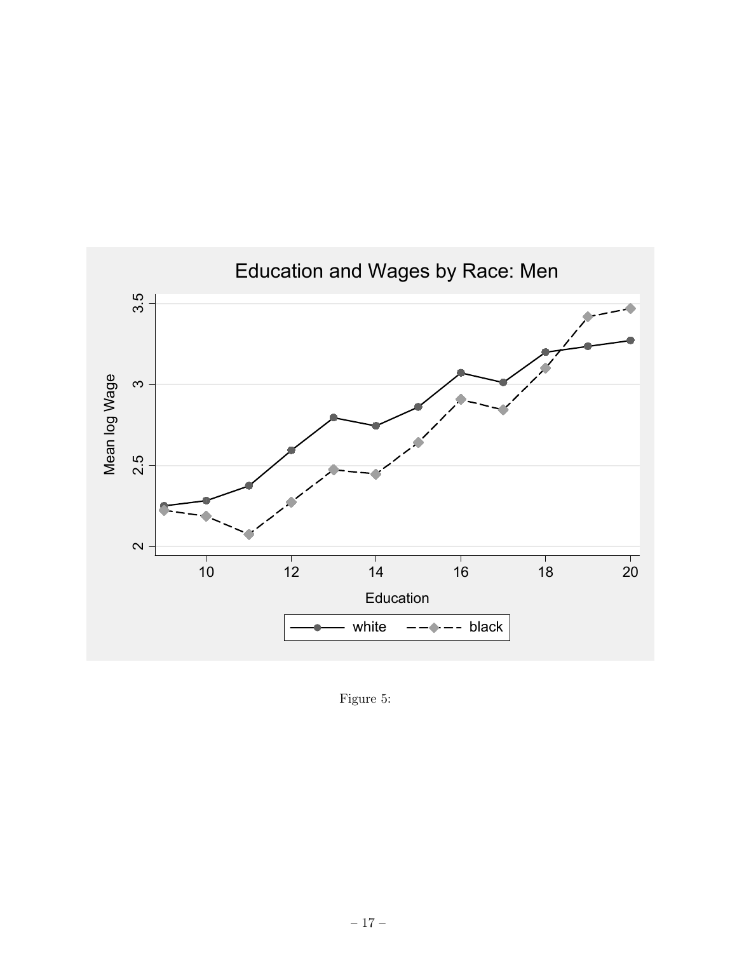

Figure 5: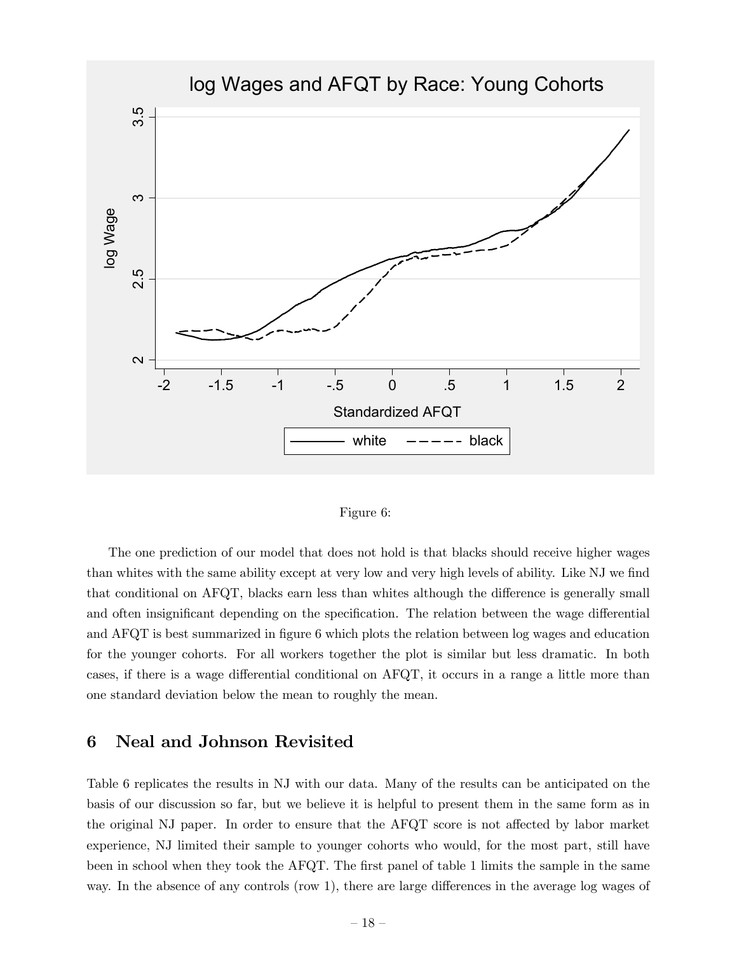



The one prediction of our model that does not hold is that blacks should receive higher wages than whites with the same ability except at very low and very high levels of ability. Like NJ we find that conditional on AFQT, blacks earn less than whites although the difference is generally small and often insignificant depending on the specification. The relation between the wage differential and AFQT is best summarized in figure 6 which plots the relation between log wages and education for the younger cohorts. For all workers together the plot is similar but less dramatic. In both cases, if there is a wage differential conditional on AFQT, it occurs in a range a little more than one standard deviation below the mean to roughly the mean.

# 6 Neal and Johnson Revisited

Table 6 replicates the results in NJ with our data. Many of the results can be anticipated on the basis of our discussion so far, but we believe it is helpful to present them in the same form as in the original NJ paper. In order to ensure that the AFQT score is not affected by labor market experience, NJ limited their sample to younger cohorts who would, for the most part, still have been in school when they took the AFQT. The first panel of table 1 limits the sample in the same way. In the absence of any controls (row 1), there are large differences in the average log wages of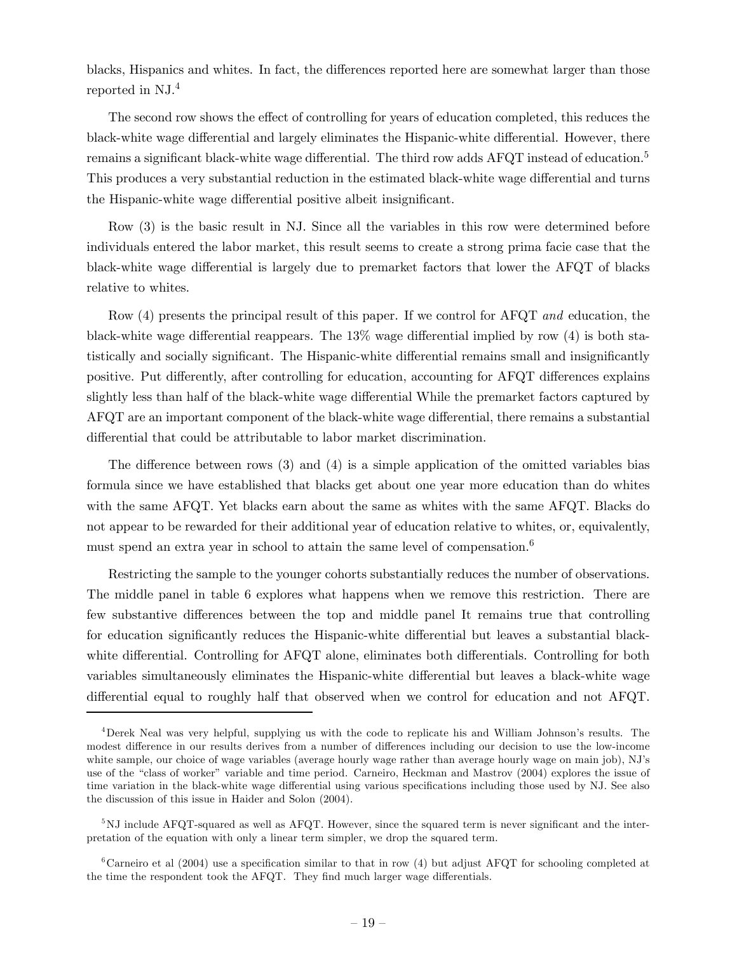blacks, Hispanics and whites. In fact, the differences reported here are somewhat larger than those reported in NJ.4

The second row shows the effect of controlling for years of education completed, this reduces the black-white wage differential and largely eliminates the Hispanic-white differential. However, there remains a significant black-white wage differential. The third row adds AFQT instead of education.<sup>5</sup> This produces a very substantial reduction in the estimated black-white wage differential and turns the Hispanic-white wage differential positive albeit insignificant.

Row (3) is the basic result in NJ. Since all the variables in this row were determined before individuals entered the labor market, this result seems to create a strong prima facie case that the black-white wage differential is largely due to premarket factors that lower the AFQT of blacks relative to whites.

Row (4) presents the principal result of this paper. If we control for AFQT and education, the black-white wage differential reappears. The 13% wage differential implied by row (4) is both statistically and socially significant. The Hispanic-white differential remains small and insignificantly positive. Put differently, after controlling for education, accounting for AFQT differences explains slightly less than half of the black-white wage differential While the premarket factors captured by AFQT are an important component of the black-white wage differential, there remains a substantial differential that could be attributable to labor market discrimination.

The difference between rows (3) and (4) is a simple application of the omitted variables bias formula since we have established that blacks get about one year more education than do whites with the same AFQT. Yet blacks earn about the same as whites with the same AFQT. Blacks do not appear to be rewarded for their additional year of education relative to whites, or, equivalently, must spend an extra year in school to attain the same level of compensation.<sup>6</sup>

Restricting the sample to the younger cohorts substantially reduces the number of observations. The middle panel in table 6 explores what happens when we remove this restriction. There are few substantive differences between the top and middle panel It remains true that controlling for education significantly reduces the Hispanic-white differential but leaves a substantial blackwhite differential. Controlling for AFQT alone, eliminates both differentials. Controlling for both variables simultaneously eliminates the Hispanic-white differential but leaves a black-white wage differential equal to roughly half that observed when we control for education and not AFQT.

<sup>4</sup>Derek Neal was very helpful, supplying us with the code to replicate his and William Johnson's results. The modest difference in our results derives from a number of differences including our decision to use the low-income white sample, our choice of wage variables (average hourly wage rather than average hourly wage on main job), NJ's use of the "class of worker" variable and time period. Carneiro, Heckman and Mastrov (2004) explores the issue of time variation in the black-white wage differential using various specifications including those used by NJ. See also the discussion of this issue in Haider and Solon (2004).

<sup>5</sup>NJ include AFQT-squared as well as AFQT. However, since the squared term is never significant and the interpretation of the equation with only a linear term simpler, we drop the squared term.

<sup>&</sup>lt;sup>6</sup>Carneiro et al (2004) use a specification similar to that in row (4) but adjust AFQT for schooling completed at the time the respondent took the AFQT. They find much larger wage differentials.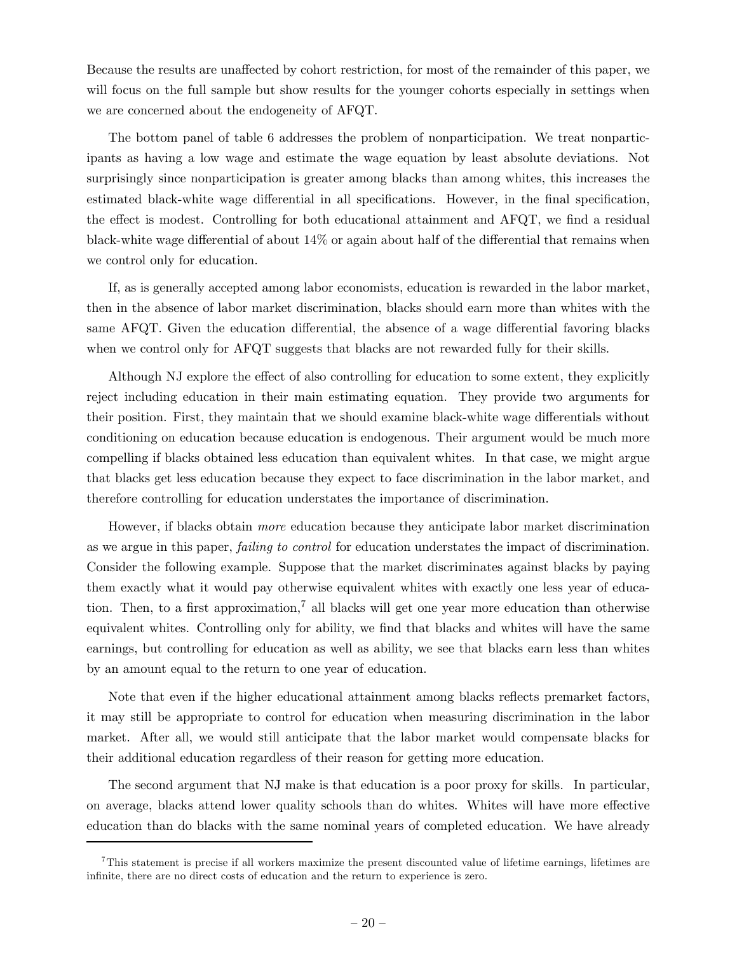Because the results are unaffected by cohort restriction, for most of the remainder of this paper, we will focus on the full sample but show results for the younger cohorts especially in settings when we are concerned about the endogeneity of AFQT.

The bottom panel of table 6 addresses the problem of nonparticipation. We treat nonparticipants as having a low wage and estimate the wage equation by least absolute deviations. Not surprisingly since nonparticipation is greater among blacks than among whites, this increases the estimated black-white wage differential in all specifications. However, in the final specification, the effect is modest. Controlling for both educational attainment and AFQT, we find a residual black-white wage differential of about 14% or again about half of the differential that remains when we control only for education.

If, as is generally accepted among labor economists, education is rewarded in the labor market, then in the absence of labor market discrimination, blacks should earn more than whites with the same AFQT. Given the education differential, the absence of a wage differential favoring blacks when we control only for AFQT suggests that blacks are not rewarded fully for their skills.

Although NJ explore the effect of also controlling for education to some extent, they explicitly reject including education in their main estimating equation. They provide two arguments for their position. First, they maintain that we should examine black-white wage differentials without conditioning on education because education is endogenous. Their argument would be much more compelling if blacks obtained less education than equivalent whites. In that case, we might argue that blacks get less education because they expect to face discrimination in the labor market, and therefore controlling for education understates the importance of discrimination.

However, if blacks obtain more education because they anticipate labor market discrimination as we argue in this paper, failing to control for education understates the impact of discrimination. Consider the following example. Suppose that the market discriminates against blacks by paying them exactly what it would pay otherwise equivalent whites with exactly one less year of education. Then, to a first approximation,<sup>7</sup> all blacks will get one year more education than otherwise equivalent whites. Controlling only for ability, we find that blacks and whites will have the same earnings, but controlling for education as well as ability, we see that blacks earn less than whites by an amount equal to the return to one year of education.

Note that even if the higher educational attainment among blacks reflects premarket factors, it may still be appropriate to control for education when measuring discrimination in the labor market. After all, we would still anticipate that the labor market would compensate blacks for their additional education regardless of their reason for getting more education.

The second argument that NJ make is that education is a poor proxy for skills. In particular, on average, blacks attend lower quality schools than do whites. Whites will have more effective education than do blacks with the same nominal years of completed education. We have already

<sup>7</sup>This statement is precise if all workers maximize the present discounted value of lifetime earnings, lifetimes are infinite, there are no direct costs of education and the return to experience is zero.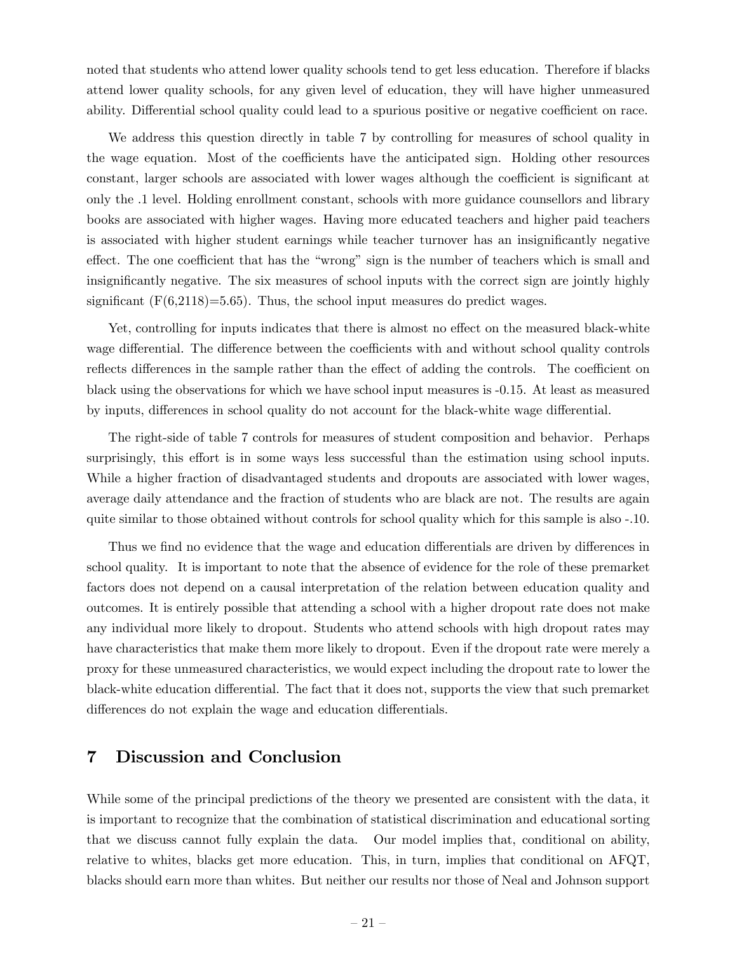noted that students who attend lower quality schools tend to get less education. Therefore if blacks attend lower quality schools, for any given level of education, they will have higher unmeasured ability. Differential school quality could lead to a spurious positive or negative coefficient on race.

We address this question directly in table 7 by controlling for measures of school quality in the wage equation. Most of the coefficients have the anticipated sign. Holding other resources constant, larger schools are associated with lower wages although the coefficient is significant at only the .1 level. Holding enrollment constant, schools with more guidance counsellors and library books are associated with higher wages. Having more educated teachers and higher paid teachers is associated with higher student earnings while teacher turnover has an insignificantly negative effect. The one coefficient that has the "wrong" sign is the number of teachers which is small and insignificantly negative. The six measures of school inputs with the correct sign are jointly highly significant  $(F(6,2118)=5.65)$ . Thus, the school input measures do predict wages.

Yet, controlling for inputs indicates that there is almost no effect on the measured black-white wage differential. The difference between the coefficients with and without school quality controls reflects differences in the sample rather than the effect of adding the controls. The coefficient on black using the observations for which we have school input measures is -0.15. At least as measured by inputs, differences in school quality do not account for the black-white wage differential.

The right-side of table 7 controls for measures of student composition and behavior. Perhaps surprisingly, this effort is in some ways less successful than the estimation using school inputs. While a higher fraction of disadvantaged students and dropouts are associated with lower wages, average daily attendance and the fraction of students who are black are not. The results are again quite similar to those obtained without controls for school quality which for this sample is also -.10.

Thus we find no evidence that the wage and education differentials are driven by differences in school quality. It is important to note that the absence of evidence for the role of these premarket factors does not depend on a causal interpretation of the relation between education quality and outcomes. It is entirely possible that attending a school with a higher dropout rate does not make any individual more likely to dropout. Students who attend schools with high dropout rates may have characteristics that make them more likely to dropout. Even if the dropout rate were merely a proxy for these unmeasured characteristics, we would expect including the dropout rate to lower the black-white education differential. The fact that it does not, supports the view that such premarket differences do not explain the wage and education differentials.

# 7 Discussion and Conclusion

While some of the principal predictions of the theory we presented are consistent with the data, it is important to recognize that the combination of statistical discrimination and educational sorting that we discuss cannot fully explain the data. Our model implies that, conditional on ability, relative to whites, blacks get more education. This, in turn, implies that conditional on AFQT, blacks should earn more than whites. But neither our results nor those of Neal and Johnson support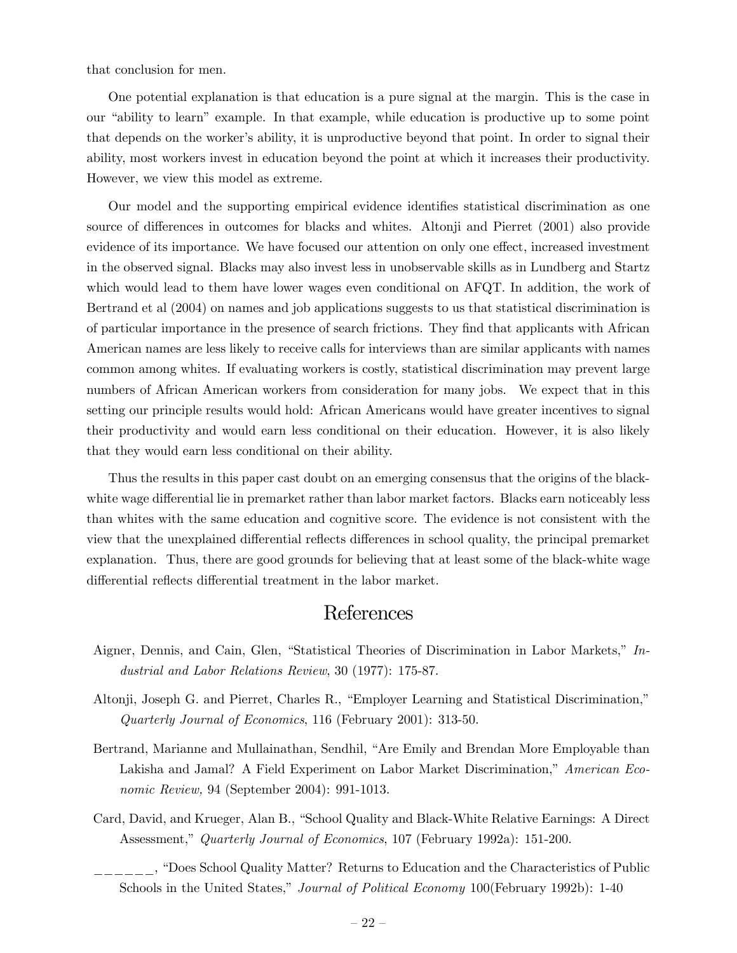that conclusion for men.

One potential explanation is that education is a pure signal at the margin. This is the case in our "ability to learn" example. In that example, while education is productive up to some point that depends on the worker's ability, it is unproductive beyond that point. In order to signal their ability, most workers invest in education beyond the point at which it increases their productivity. However, we view this model as extreme.

Our model and the supporting empirical evidence identifies statistical discrimination as one source of differences in outcomes for blacks and whites. Altonji and Pierret (2001) also provide evidence of its importance. We have focused our attention on only one effect, increased investment in the observed signal. Blacks may also invest less in unobservable skills as in Lundberg and Startz which would lead to them have lower wages even conditional on AFQT. In addition, the work of Bertrand et al (2004) on names and job applications suggests to us that statistical discrimination is of particular importance in the presence of search frictions. They find that applicants with African American names are less likely to receive calls for interviews than are similar applicants with names common among whites. If evaluating workers is costly, statistical discrimination may prevent large numbers of African American workers from consideration for many jobs. We expect that in this setting our principle results would hold: African Americans would have greater incentives to signal their productivity and would earn less conditional on their education. However, it is also likely that they would earn less conditional on their ability.

Thus the results in this paper cast doubt on an emerging consensus that the origins of the blackwhite wage differential lie in premarket rather than labor market factors. Blacks earn noticeably less than whites with the same education and cognitive score. The evidence is not consistent with the view that the unexplained differential reflects differences in school quality, the principal premarket explanation. Thus, there are good grounds for believing that at least some of the black-white wage differential reflects differential treatment in the labor market.

# References

- Aigner, Dennis, and Cain, Glen, "Statistical Theories of Discrimination in Labor Markets," Industrial and Labor Relations Review, 30 (1977): 175-87.
- Altonji, Joseph G. and Pierret, Charles R., "Employer Learning and Statistical Discrimination," Quarterly Journal of Economics, 116 (February 2001): 313-50.
- Bertrand, Marianne and Mullainathan, Sendhil, "Are Emily and Brendan More Employable than Lakisha and Jamal? A Field Experiment on Labor Market Discrimination," American Economic Review, 94 (September 2004): 991-1013.
- Card, David, and Krueger, Alan B., "School Quality and Black-White Relative Earnings: A Direct Assessment," Quarterly Journal of Economics, 107 (February 1992a): 151-200.
	- \_\_\_\_\_\_, "Does School Quality Matter? Returns to Education and the Characteristics of Public Schools in the United States," *Journal of Political Economy* 100 (February 1992b): 1-40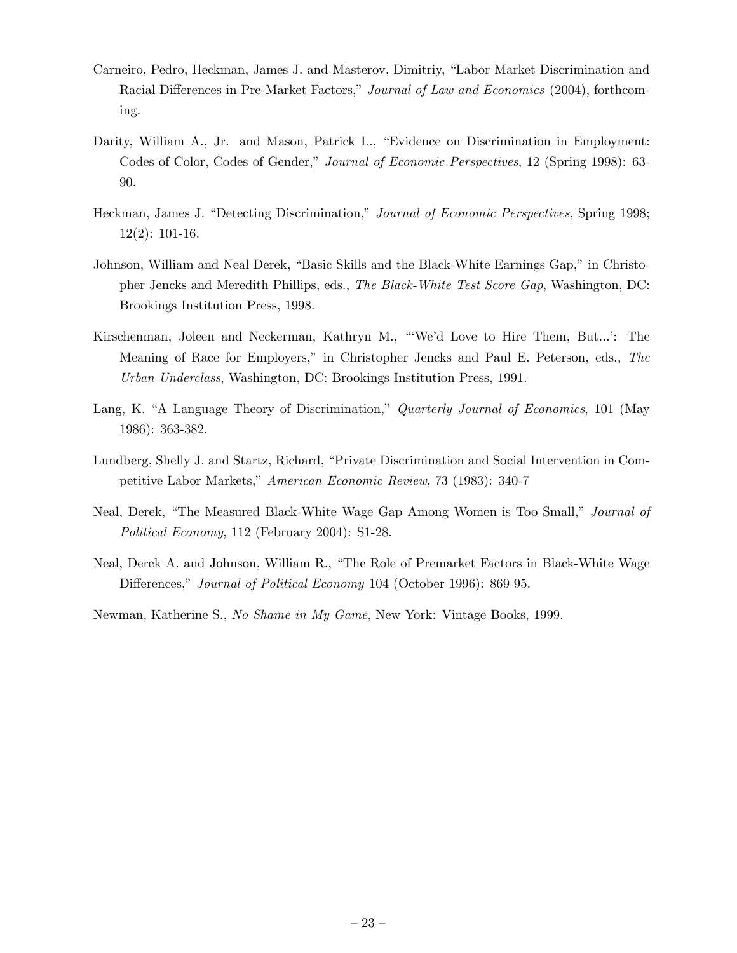- Carneiro, Pedro, Heckman, James J. and Masterov, Dimitriy, "Labor Market Discrimination and Racial Differences in Pre-Market Factors," Journal of Law and Economics (2004), forthcoming.
- Darity, William A., Jr. and Mason, Patrick L., "Evidence on Discrimination in Employment: Codes of Color, Codes of Gender," Journal of Economic Perspectives, 12 (Spring 1998): 63- 90.
- Heckman, James J. "Detecting Discrimination," Journal of Economic Perspectives, Spring 1998; 12(2): 101-16.
- Johnson, William and Neal Derek, "Basic Skills and the Black-White Earnings Gap," in Christopher Jencks and Meredith Phillips, eds., The Black-White Test Score Gap, Washington, DC: Brookings Institution Press, 1998.
- Kirschenman, Joleen and Neckerman, Kathryn M., "'We'd Love to Hire Them, But...': The Meaning of Race for Employers," in Christopher Jencks and Paul E. Peterson, eds., The Urban Underclass, Washington, DC: Brookings Institution Press, 1991.
- Lang, K. "A Language Theory of Discrimination," Quarterly Journal of Economics, 101 (May 1986): 363-382.
- Lundberg, Shelly J. and Startz, Richard, "Private Discrimination and Social Intervention in Competitive Labor Markets," American Economic Review, 73 (1983): 340-7
- Neal, Derek, "The Measured Black-White Wage Gap Among Women is Too Small," Journal of Political Economy, 112 (February 2004): S1-28.
- Neal, Derek A. and Johnson, William R., "The Role of Premarket Factors in Black-White Wage Differences," Journal of Political Economy 104 (October 1996): 869-95.

Newman, Katherine S., No Shame in My Game, New York: Vintage Books, 1999.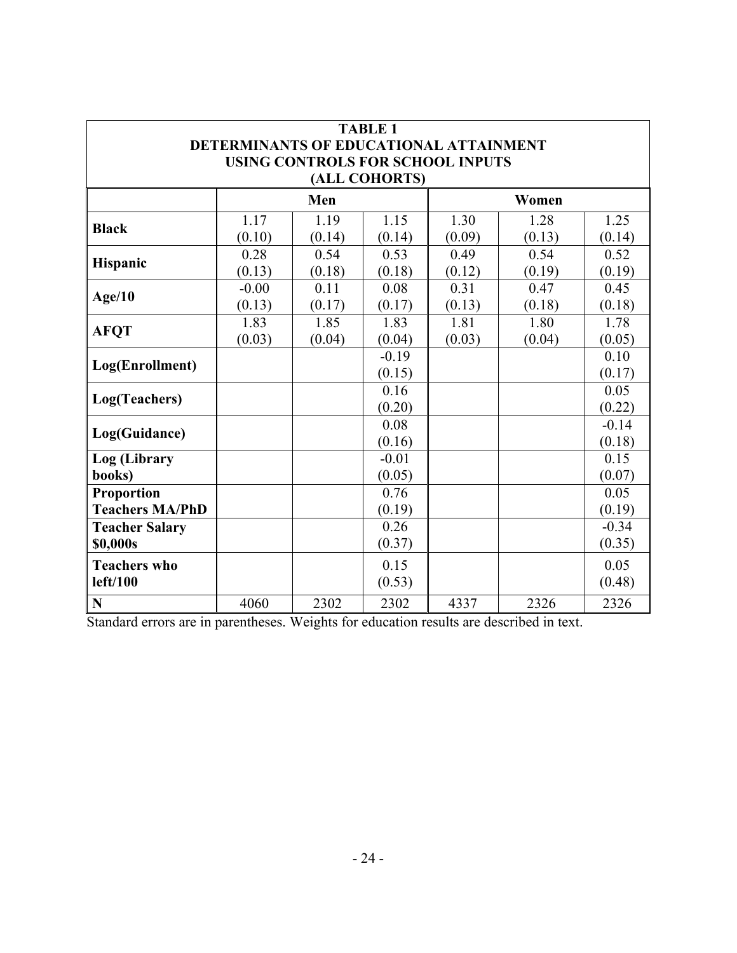| <b>TABLE 1</b>                                                             |         |        |               |        |        |         |  |
|----------------------------------------------------------------------------|---------|--------|---------------|--------|--------|---------|--|
| DETERMINANTS OF EDUCATIONAL ATTAINMENT<br>USING CONTROLS FOR SCHOOL INPUTS |         |        |               |        |        |         |  |
|                                                                            |         |        | (ALL COHORTS) |        |        |         |  |
|                                                                            | Men     |        |               | Women  |        |         |  |
| <b>Black</b>                                                               | 1.17    | 1.19   | 1.15          | 1.30   | 1.28   | 1.25    |  |
|                                                                            | (0.10)  | (0.14) | (0.14)        | (0.09) | (0.13) | (0.14)  |  |
| Hispanic                                                                   | 0.28    | 0.54   | 0.53          | 0.49   | 0.54   | 0.52    |  |
|                                                                            | (0.13)  | (0.18) | (0.18)        | (0.12) | (0.19) | (0.19)  |  |
| Age/10                                                                     | $-0.00$ | 0.11   | 0.08          | 0.31   | 0.47   | 0.45    |  |
|                                                                            | (0.13)  | (0.17) | (0.17)        | (0.13) | (0.18) | (0.18)  |  |
| <b>AFQT</b>                                                                | 1.83    | 1.85   | 1.83          | 1.81   | 1.80   | 1.78    |  |
|                                                                            | (0.03)  | (0.04) | (0.04)        | (0.03) | (0.04) | (0.05)  |  |
|                                                                            |         |        | $-0.19$       |        |        | 0.10    |  |
| Log(Enrollment)                                                            |         |        | (0.15)        |        |        | (0.17)  |  |
|                                                                            |         |        | 0.16          |        |        | 0.05    |  |
| Log(Teachers)                                                              |         |        | (0.20)        |        |        | (0.22)  |  |
|                                                                            |         |        | 0.08          |        |        | $-0.14$ |  |
| Log(Guidance)                                                              |         |        | (0.16)        |        |        | (0.18)  |  |
| Log (Library                                                               |         |        | $-0.01$       |        |        | 0.15    |  |
| books)                                                                     |         |        | (0.05)        |        |        | (0.07)  |  |
| Proportion                                                                 |         |        | 0.76          |        |        | 0.05    |  |
| <b>Teachers MA/PhD</b>                                                     |         |        | (0.19)        |        |        | (0.19)  |  |
| <b>Teacher Salary</b>                                                      |         |        | 0.26          |        |        | $-0.34$ |  |
| \$0,000s                                                                   |         |        | (0.37)        |        |        | (0.35)  |  |
| <b>Teachers who</b>                                                        |         |        | 0.15          |        |        | 0.05    |  |
| left/100                                                                   |         |        | (0.53)        |        |        | (0.48)  |  |
| N                                                                          | 4060    | 2302   | 2302          | 4337   | 2326   | 2326    |  |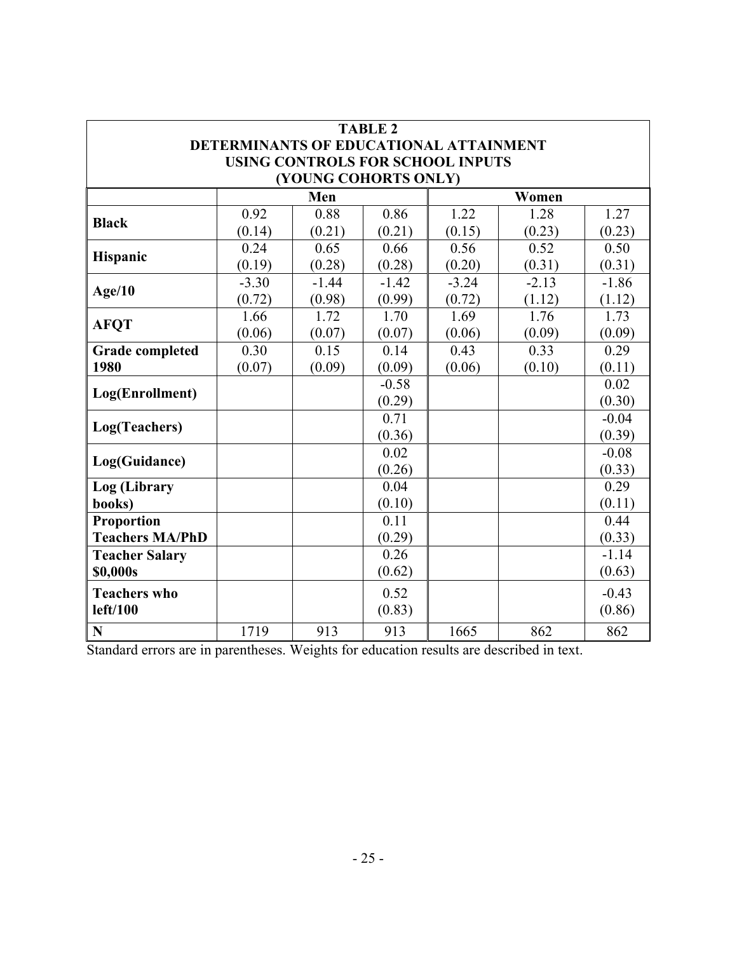| <b>TABLE 2</b>                                                                    |              |                      |         |         |         |         |
|-----------------------------------------------------------------------------------|--------------|----------------------|---------|---------|---------|---------|
| DETERMINANTS OF EDUCATIONAL ATTAINMENT<br><b>USING CONTROLS FOR SCHOOL INPUTS</b> |              |                      |         |         |         |         |
|                                                                                   |              | (YOUNG COHORTS ONLY) |         |         |         |         |
|                                                                                   | Men<br>Women |                      |         |         |         |         |
| <b>Black</b>                                                                      | 0.92         | 0.88                 | 0.86    | 1.22    | 1.28    | 1.27    |
|                                                                                   | (0.14)       | (0.21)               | (0.21)  | (0.15)  | (0.23)  | (0.23)  |
| Hispanic                                                                          | 0.24         | 0.65                 | 0.66    | 0.56    | 0.52    | 0.50    |
|                                                                                   | (0.19)       | (0.28)               | (0.28)  | (0.20)  | (0.31)  | (0.31)  |
| Age/10                                                                            | $-3.30$      | $-1.44$              | $-1.42$ | $-3.24$ | $-2.13$ | $-1.86$ |
|                                                                                   | (0.72)       | (0.98)               | (0.99)  | (0.72)  | (1.12)  | (1.12)  |
| <b>AFQT</b>                                                                       | 1.66         | 1.72                 | 1.70    | 1.69    | 1.76    | 1.73    |
|                                                                                   | (0.06)       | (0.07)               | (0.07)  | (0.06)  | (0.09)  | (0.09)  |
| <b>Grade completed</b>                                                            | 0.30         | 0.15                 | 0.14    | 0.43    | 0.33    | 0.29    |
| 1980                                                                              | (0.07)       | (0.09)               | (0.09)  | (0.06)  | (0.10)  | (0.11)  |
| Log(Enrollment)                                                                   |              |                      | $-0.58$ |         |         | 0.02    |
|                                                                                   |              |                      | (0.29)  |         |         | (0.30)  |
| Log(Teachers)                                                                     |              |                      | 0.71    |         |         | $-0.04$ |
|                                                                                   |              |                      | (0.36)  |         |         | (0.39)  |
| Log(Guidance)                                                                     |              |                      | 0.02    |         |         | $-0.08$ |
|                                                                                   |              |                      | (0.26)  |         |         | (0.33)  |
| Log (Library                                                                      |              |                      | 0.04    |         |         | 0.29    |
| books)                                                                            |              |                      | (0.10)  |         |         | (0.11)  |
| <b>Proportion</b>                                                                 |              |                      | 0.11    |         |         | 0.44    |
| <b>Teachers MA/PhD</b>                                                            |              |                      | (0.29)  |         |         | (0.33)  |
| <b>Teacher Salary</b>                                                             |              |                      | 0.26    |         |         | $-1.14$ |
| \$0,000s                                                                          |              |                      | (0.62)  |         |         | (0.63)  |
| <b>Teachers who</b>                                                               |              |                      | 0.52    |         |         | $-0.43$ |
| left/100                                                                          |              |                      | (0.83)  |         |         | (0.86)  |
| $\mathbf N$                                                                       | 1719         | 913                  | 913     | 1665    | 862     | 862     |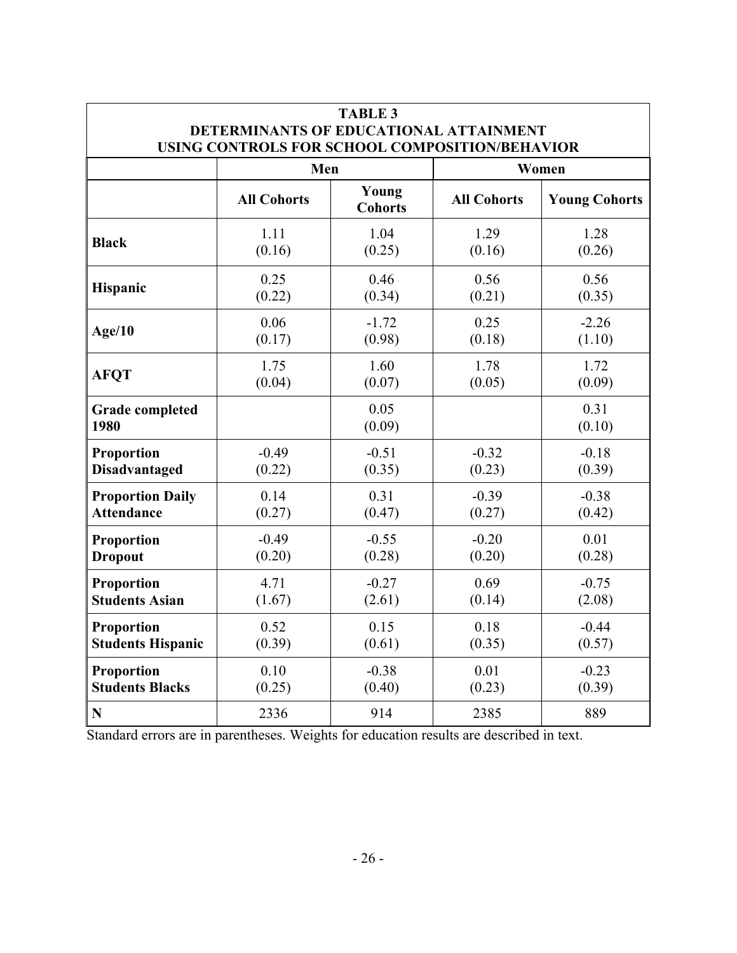| <b>TABLE 3</b><br>DETERMINANTS OF EDUCATIONAL ATTAINMENT<br>USING CONTROLS FOR SCHOOL COMPOSITION/BEHAVIOR |                    |                         |                    |                      |  |  |
|------------------------------------------------------------------------------------------------------------|--------------------|-------------------------|--------------------|----------------------|--|--|
|                                                                                                            | Men                |                         | Women              |                      |  |  |
|                                                                                                            | <b>All Cohorts</b> | Young<br><b>Cohorts</b> | <b>All Cohorts</b> | <b>Young Cohorts</b> |  |  |
| <b>Black</b>                                                                                               | 1.11               | 1.04                    | 1.29               | 1.28                 |  |  |
|                                                                                                            | (0.16)             | (0.25)                  | (0.16)             | (0.26)               |  |  |
| Hispanic                                                                                                   | 0.25               | 0.46                    | 0.56               | 0.56                 |  |  |
|                                                                                                            | (0.22)             | (0.34)                  | (0.21)             | (0.35)               |  |  |
| Age/10                                                                                                     | 0.06               | $-1.72$                 | 0.25               | $-2.26$              |  |  |
|                                                                                                            | (0.17)             | (0.98)                  | (0.18)             | (1.10)               |  |  |
| <b>AFQT</b>                                                                                                | 1.75               | 1.60                    | 1.78               | 1.72                 |  |  |
|                                                                                                            | (0.04)             | (0.07)                  | (0.05)             | (0.09)               |  |  |
| <b>Grade completed</b><br>1980                                                                             |                    | 0.05<br>(0.09)          |                    | 0.31<br>(0.10)       |  |  |
| Proportion                                                                                                 | $-0.49$            | $-0.51$                 | $-0.32$            | $-0.18$              |  |  |
| <b>Disadvantaged</b>                                                                                       | (0.22)             | (0.35)                  | (0.23)             | (0.39)               |  |  |
| <b>Proportion Daily</b>                                                                                    | 0.14               | 0.31                    | $-0.39$            | $-0.38$              |  |  |
| <b>Attendance</b>                                                                                          | (0.27)             | (0.47)                  | (0.27)             | (0.42)               |  |  |
| <b>Proportion</b>                                                                                          | $-0.49$            | $-0.55$                 | $-0.20$            | 0.01                 |  |  |
| <b>Dropout</b>                                                                                             | (0.20)             | (0.28)                  | (0.20)             | (0.28)               |  |  |
| Proportion                                                                                                 | 4.71               | $-0.27$                 | 0.69               | $-0.75$              |  |  |
| <b>Students Asian</b>                                                                                      | (1.67)             | (2.61)                  | (0.14)             | (2.08)               |  |  |
| Proportion                                                                                                 | 0.52               | 0.15                    | 0.18               | $-0.44$              |  |  |
| <b>Students Hispanic</b>                                                                                   | (0.39)             | (0.61)                  | (0.35)             | (0.57)               |  |  |
| Proportion                                                                                                 | 0.10               | $-0.38$                 | 0.01               | $-0.23$              |  |  |
| <b>Students Blacks</b>                                                                                     | (0.25)             | (0.40)                  | (0.23)             | (0.39)               |  |  |
| N                                                                                                          | 2336               | 914                     | 2385               | 889                  |  |  |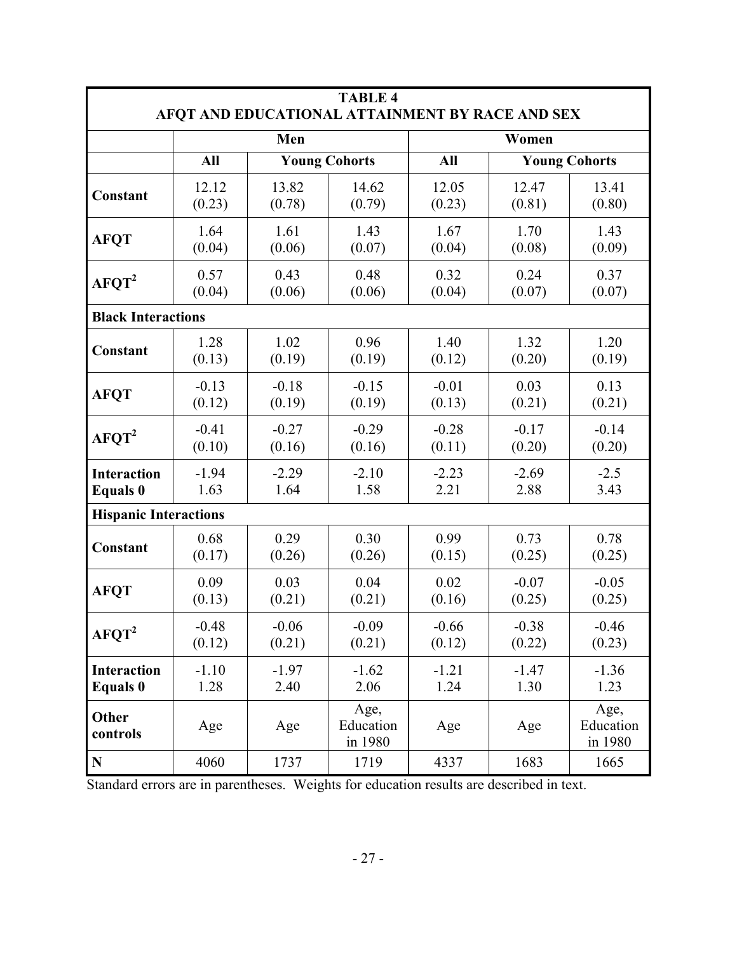| <b>TABLE 4</b>                                  |         |         |                              |         |                      |                              |
|-------------------------------------------------|---------|---------|------------------------------|---------|----------------------|------------------------------|
| AFQT AND EDUCATIONAL ATTAINMENT BY RACE AND SEX |         |         |                              |         |                      |                              |
|                                                 |         | Men     |                              |         | Women                |                              |
|                                                 | All     |         | <b>Young Cohorts</b>         | All     | <b>Young Cohorts</b> |                              |
| Constant                                        | 12.12   | 13.82   | 14.62                        | 12.05   | 12.47                | 13.41                        |
|                                                 | (0.23)  | (0.78)  | (0.79)                       | (0.23)  | (0.81)               | (0.80)                       |
| <b>AFQT</b>                                     | 1.64    | 1.61    | 1.43                         | 1.67    | 1.70                 | 1.43                         |
|                                                 | (0.04)  | (0.06)  | (0.07)                       | (0.04)  | (0.08)               | (0.09)                       |
| AFQT <sup>2</sup>                               | 0.57    | 0.43    | 0.48                         | 0.32    | 0.24                 | 0.37                         |
|                                                 | (0.04)  | (0.06)  | (0.06)                       | (0.04)  | (0.07)               | (0.07)                       |
| <b>Black Interactions</b>                       |         |         |                              |         |                      |                              |
| Constant                                        | 1.28    | 1.02    | 0.96                         | 1.40    | 1.32                 | 1.20                         |
|                                                 | (0.13)  | (0.19)  | (0.19)                       | (0.12)  | (0.20)               | (0.19)                       |
| <b>AFQT</b>                                     | $-0.13$ | $-0.18$ | $-0.15$                      | $-0.01$ | 0.03                 | 0.13                         |
|                                                 | (0.12)  | (0.19)  | (0.19)                       | (0.13)  | (0.21)               | (0.21)                       |
| AFQT <sup>2</sup>                               | $-0.41$ | $-0.27$ | $-0.29$                      | $-0.28$ | $-0.17$              | $-0.14$                      |
|                                                 | (0.10)  | (0.16)  | (0.16)                       | (0.11)  | (0.20)               | (0.20)                       |
| <b>Interaction</b>                              | $-1.94$ | $-2.29$ | $-2.10$                      | $-2.23$ | $-2.69$              | $-2.5$                       |
| <b>Equals</b> 0                                 | 1.63    | 1.64    | 1.58                         | 2.21    | 2.88                 | 3.43                         |
| <b>Hispanic Interactions</b>                    |         |         |                              |         |                      |                              |
| Constant                                        | 0.68    | 0.29    | 0.30                         | 0.99    | 0.73                 | 0.78                         |
|                                                 | (0.17)  | (0.26)  | (0.26)                       | (0.15)  | (0.25)               | (0.25)                       |
| <b>AFQT</b>                                     | 0.09    | 0.03    | 0.04                         | 0.02    | $-0.07$              | $-0.05$                      |
|                                                 | (0.13)  | (0.21)  | (0.21)                       | (0.16)  | (0.25)               | (0.25)                       |
| AFQT <sup>2</sup>                               | $-0.48$ | $-0.06$ | $-0.09$                      | $-0.66$ | $-0.38$              | $-0.46$                      |
|                                                 | (0.12)  | (0.21)  | (0.21)                       | (0.12)  | (0.22)               | (0.23)                       |
| <b>Interaction</b>                              | $-1.10$ | $-1.97$ | $-1.62$                      | $-1.21$ | $-1.47$              | $-1.36$                      |
| <b>Equals 0</b>                                 | 1.28    | 2.40    | 2.06                         | 1.24    | 1.30                 | 1.23                         |
| Other<br>controls                               | Age     | Age     | Age,<br>Education<br>in 1980 | Age     | Age                  | Age,<br>Education<br>in 1980 |
| ${\bf N}$                                       | 4060    | 1737    | 1719                         | 4337    | 1683                 | 1665                         |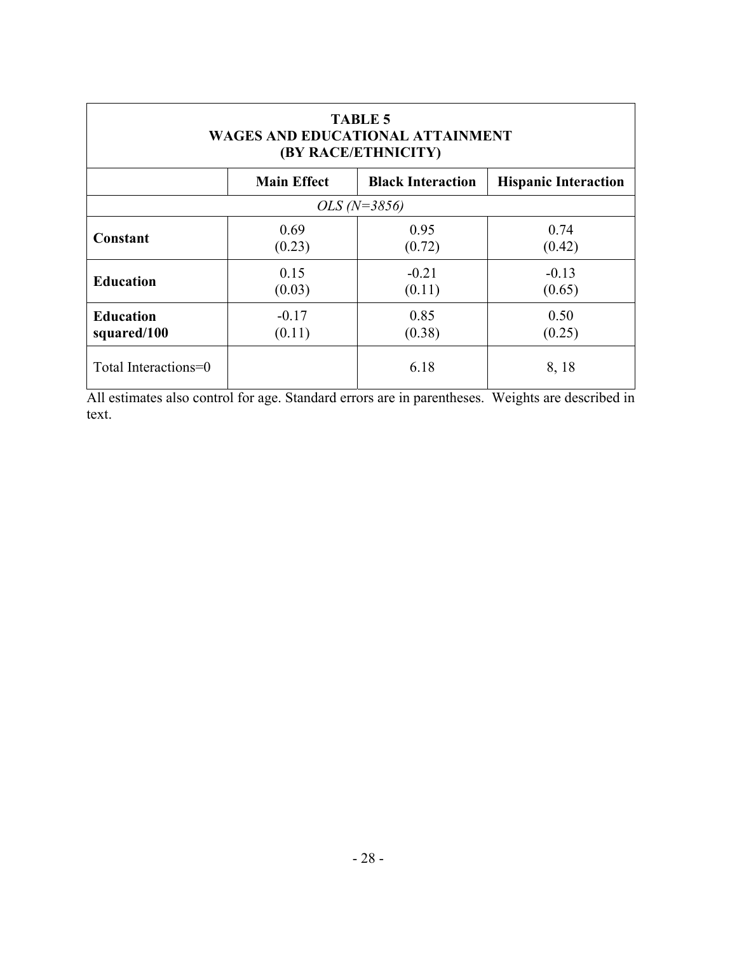| <b>TABLE 5</b><br><b>WAGES AND EDUCATIONAL ATTAINMENT</b><br>(BY RACE/ETHNICITY) |                    |                          |                             |  |  |  |  |
|----------------------------------------------------------------------------------|--------------------|--------------------------|-----------------------------|--|--|--|--|
|                                                                                  | <b>Main Effect</b> | <b>Black Interaction</b> | <b>Hispanic Interaction</b> |  |  |  |  |
| $OLS (N=3856)$                                                                   |                    |                          |                             |  |  |  |  |
| Constant                                                                         | 0.69<br>(0.23)     | 0.95<br>(0.72)           | 0.74<br>(0.42)              |  |  |  |  |
| <b>Education</b>                                                                 | 0.15<br>(0.03)     | $-0.21$<br>(0.11)        | $-0.13$<br>(0.65)           |  |  |  |  |
| <b>Education</b><br>squared/100                                                  | $-0.17$<br>(0.11)  | 0.85<br>(0.38)           | 0.50<br>(0.25)              |  |  |  |  |
| Total Interactions=0                                                             |                    | 6.18                     | 8,18                        |  |  |  |  |

All estimates also control for age. Standard errors are in parentheses. Weights are described in text.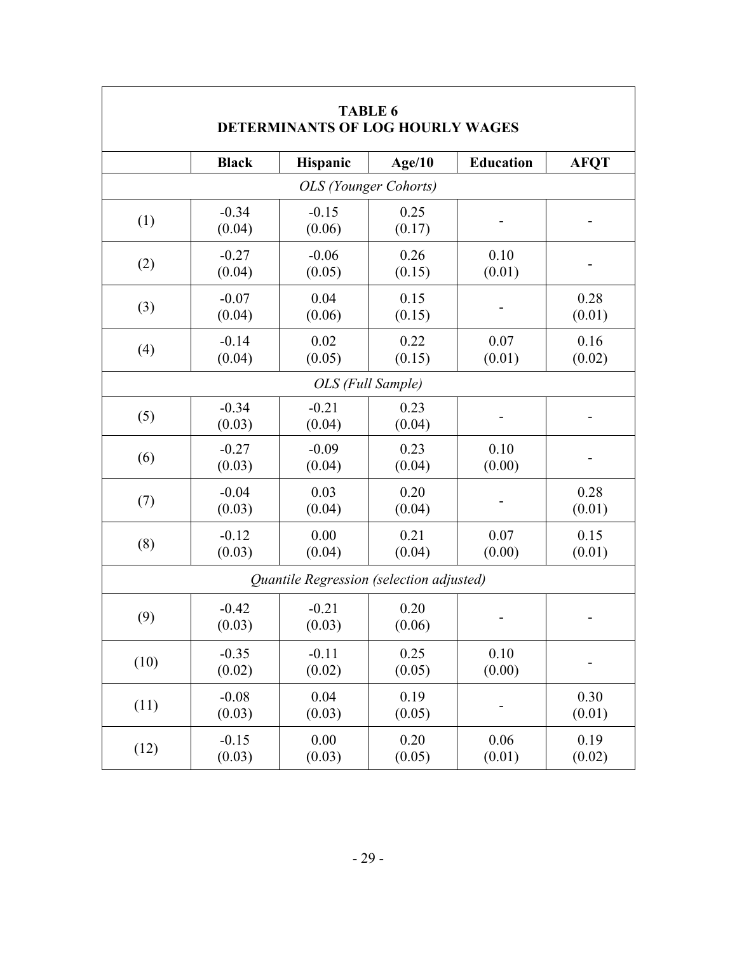| <b>TABLE 6</b><br>DETERMINANTS OF LOG HOURLY WAGES |                   |                                          |                |                  |                |  |  |  |
|----------------------------------------------------|-------------------|------------------------------------------|----------------|------------------|----------------|--|--|--|
|                                                    | <b>Black</b>      | Hispanic                                 | Age/10         | <b>Education</b> | <b>AFQT</b>    |  |  |  |
|                                                    |                   | <b>OLS</b> (Younger Cohorts)             |                |                  |                |  |  |  |
| (1)                                                | $-0.34$<br>(0.04) | $-0.15$<br>(0.06)                        | 0.25<br>(0.17) |                  |                |  |  |  |
| (2)                                                | $-0.27$<br>(0.04) | $-0.06$<br>(0.05)                        | 0.26<br>(0.15) | 0.10<br>(0.01)   |                |  |  |  |
| (3)                                                | $-0.07$<br>(0.04) | 0.04<br>(0.06)                           | 0.15<br>(0.15) |                  | 0.28<br>(0.01) |  |  |  |
| (4)                                                | $-0.14$<br>(0.04) | 0.02<br>(0.05)                           | 0.22<br>(0.15) | 0.07<br>(0.01)   | 0.16<br>(0.02) |  |  |  |
|                                                    | OLS (Full Sample) |                                          |                |                  |                |  |  |  |
| (5)                                                | $-0.34$<br>(0.03) | $-0.21$<br>(0.04)                        | 0.23<br>(0.04) |                  |                |  |  |  |
| (6)                                                | $-0.27$<br>(0.03) | $-0.09$<br>(0.04)                        | 0.23<br>(0.04) | 0.10<br>(0.00)   |                |  |  |  |
| (7)                                                | $-0.04$<br>(0.03) | 0.03<br>(0.04)                           | 0.20<br>(0.04) |                  | 0.28<br>(0.01) |  |  |  |
| (8)                                                | $-0.12$<br>(0.03) | 0.00<br>(0.04)                           | 0.21<br>(0.04) | 0.07<br>(0.00)   | 0.15<br>(0.01) |  |  |  |
|                                                    |                   | Quantile Regression (selection adjusted) |                |                  |                |  |  |  |
| (9)                                                | $-0.42$<br>(0.03) | $-0.21$<br>(0.03)                        | 0.20<br>(0.06) |                  |                |  |  |  |
| (10)                                               | $-0.35$<br>(0.02) | $-0.11$<br>(0.02)                        | 0.25<br>(0.05) | 0.10<br>(0.00)   |                |  |  |  |
| (11)                                               | $-0.08$<br>(0.03) | 0.04<br>(0.03)                           | 0.19<br>(0.05) |                  | 0.30<br>(0.01) |  |  |  |
| (12)                                               | $-0.15$<br>(0.03) | 0.00<br>(0.03)                           | 0.20<br>(0.05) | 0.06<br>(0.01)   | 0.19<br>(0.02) |  |  |  |